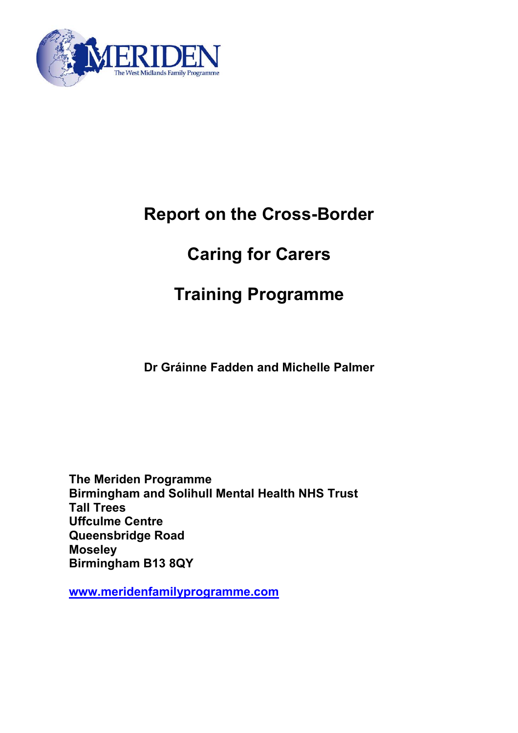

# **Report on the Cross-Border**

# **Caring for Carers**

# **Training Programme**

**Dr Gráinne Fadden and Michelle Palmer** 

**The Meriden Programme Birmingham and Solihull Mental Health NHS Trust Tall Trees Uffculme Centre Queensbridge Road Moseley Birmingham B13 8QY** 

**[www.meridenfamilyprogramme.com](http://www.meridenfamilyprogramme.com/)**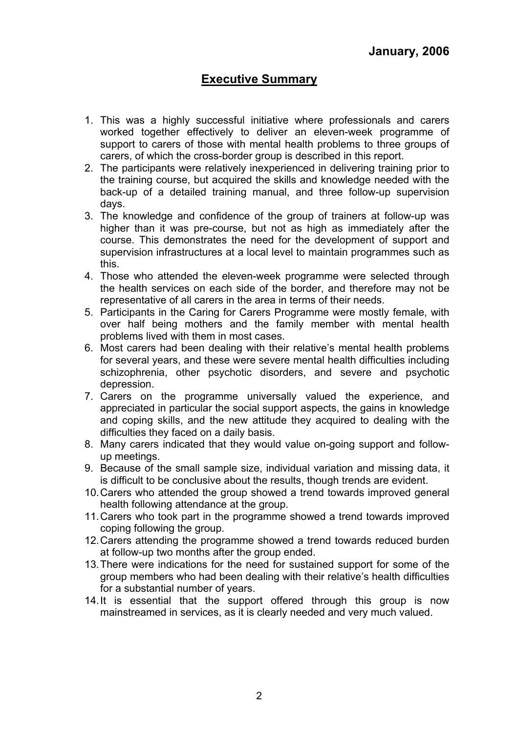# **Executive Summary**

- 1. This was a highly successful initiative where professionals and carers worked together effectively to deliver an eleven-week programme of support to carers of those with mental health problems to three groups of carers, of which the cross-border group is described in this report.
- 2. The participants were relatively inexperienced in delivering training prior to the training course, but acquired the skills and knowledge needed with the back-up of a detailed training manual, and three follow-up supervision days.
- 3. The knowledge and confidence of the group of trainers at follow-up was higher than it was pre-course, but not as high as immediately after the course. This demonstrates the need for the development of support and supervision infrastructures at a local level to maintain programmes such as this.
- 4. Those who attended the eleven-week programme were selected through the health services on each side of the border, and therefore may not be representative of all carers in the area in terms of their needs.
- 5. Participants in the Caring for Carers Programme were mostly female, with over half being mothers and the family member with mental health problems lived with them in most cases.
- 6. Most carers had been dealing with their relative's mental health problems for several years, and these were severe mental health difficulties including schizophrenia, other psychotic disorders, and severe and psychotic depression.
- 7. Carers on the programme universally valued the experience, and appreciated in particular the social support aspects, the gains in knowledge and coping skills, and the new attitude they acquired to dealing with the difficulties they faced on a daily basis.
- 8. Many carers indicated that they would value on-going support and followup meetings.
- 9. Because of the small sample size, individual variation and missing data, it is difficult to be conclusive about the results, though trends are evident.
- 10. Carers who attended the group showed a trend towards improved general health following attendance at the group.
- 11. Carers who took part in the programme showed a trend towards improved coping following the group.
- 12. Carers attending the programme showed a trend towards reduced burden at follow-up two months after the group ended.
- 13. There were indications for the need for sustained support for some of the group members who had been dealing with their relative's health difficulties for a substantial number of years.
- 14. It is essential that the support offered through this group is now mainstreamed in services, as it is clearly needed and very much valued.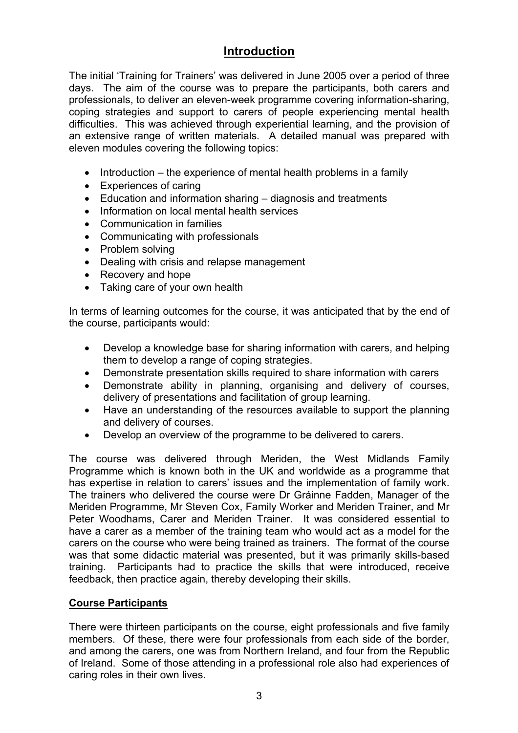# **Introduction**

The initial 'Training for Trainers' was delivered in June 2005 over a period of three days. The aim of the course was to prepare the participants, both carers and professionals, to deliver an eleven-week programme covering information-sharing, coping strategies and support to carers of people experiencing mental health difficulties. This was achieved through experiential learning, and the provision of an extensive range of written materials. A detailed manual was prepared with eleven modules covering the following topics:

- Introduction the experience of mental health problems in a family
- Experiences of caring
- Education and information sharing diagnosis and treatments
- Information on local mental health services
- Communication in families
- Communicating with professionals
- Problem solving
- Dealing with crisis and relapse management
- Recovery and hope
- Taking care of your own health

In terms of learning outcomes for the course, it was anticipated that by the end of the course, participants would:

- Develop a knowledge base for sharing information with carers, and helping them to develop a range of coping strategies.
- Demonstrate presentation skills required to share information with carers
- Demonstrate ability in planning, organising and delivery of courses, delivery of presentations and facilitation of group learning.
- Have an understanding of the resources available to support the planning and delivery of courses.
- Develop an overview of the programme to be delivered to carers.

The course was delivered through Meriden, the West Midlands Family Programme which is known both in the UK and worldwide as a programme that has expertise in relation to carers' issues and the implementation of family work. The trainers who delivered the course were Dr Gráinne Fadden, Manager of the Meriden Programme, Mr Steven Cox, Family Worker and Meriden Trainer, and Mr Peter Woodhams, Carer and Meriden Trainer. It was considered essential to have a carer as a member of the training team who would act as a model for the carers on the course who were being trained as trainers. The format of the course was that some didactic material was presented, but it was primarily skills-based training. Participants had to practice the skills that were introduced, receive feedback, then practice again, thereby developing their skills.

### **Course Participants**

There were thirteen participants on the course, eight professionals and five family members. Of these, there were four professionals from each side of the border, and among the carers, one was from Northern Ireland, and four from the Republic of Ireland. Some of those attending in a professional role also had experiences of caring roles in their own lives.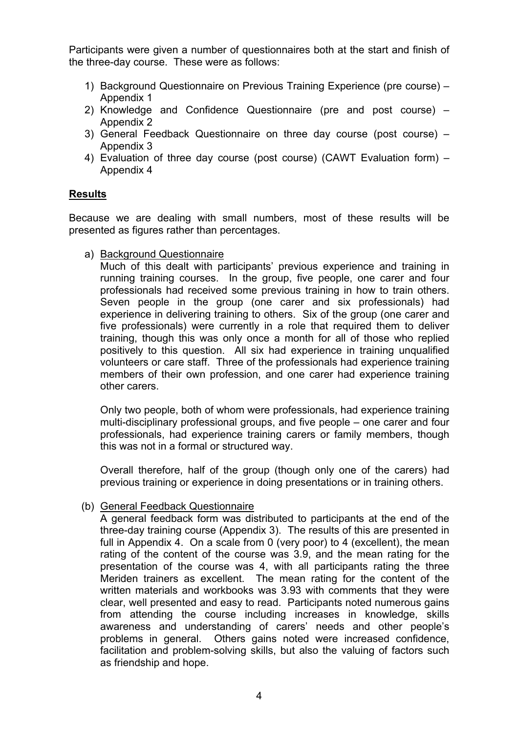Participants were given a number of questionnaires both at the start and finish of the three-day course. These were as follows:

- 1) Background Questionnaire on Previous Training Experience (pre course) Appendix 1
- 2) Knowledge and Confidence Questionnaire (pre and post course) Appendix 2
- 3) General Feedback Questionnaire on three day course (post course) Appendix 3
- 4) Evaluation of three day course (post course) (CAWT Evaluation form) Appendix 4

### **Results**

Because we are dealing with small numbers, most of these results will be presented as figures rather than percentages.

a) Background Questionnaire

Much of this dealt with participants' previous experience and training in running training courses. In the group, five people, one carer and four professionals had received some previous training in how to train others. Seven people in the group (one carer and six professionals) had experience in delivering training to others. Six of the group (one carer and five professionals) were currently in a role that required them to deliver training, though this was only once a month for all of those who replied positively to this question. All six had experience in training unqualified volunteers or care staff. Three of the professionals had experience training members of their own profession, and one carer had experience training other carers.

Only two people, both of whom were professionals, had experience training multi-disciplinary professional groups, and five people – one carer and four professionals, had experience training carers or family members, though this was not in a formal or structured way.

Overall therefore, half of the group (though only one of the carers) had previous training or experience in doing presentations or in training others.

### (b) General Feedback Questionnaire

A general feedback form was distributed to participants at the end of the three-day training course (Appendix 3). The results of this are presented in full in Appendix 4. On a scale from 0 (very poor) to 4 (excellent), the mean rating of the content of the course was 3.9, and the mean rating for the presentation of the course was 4, with all participants rating the three Meriden trainers as excellent. The mean rating for the content of the written materials and workbooks was 3.93 with comments that they were clear, well presented and easy to read. Participants noted numerous gains from attending the course including increases in knowledge, skills awareness and understanding of carers' needs and other people's problems in general. Others gains noted were increased confidence, facilitation and problem-solving skills, but also the valuing of factors such as friendship and hope.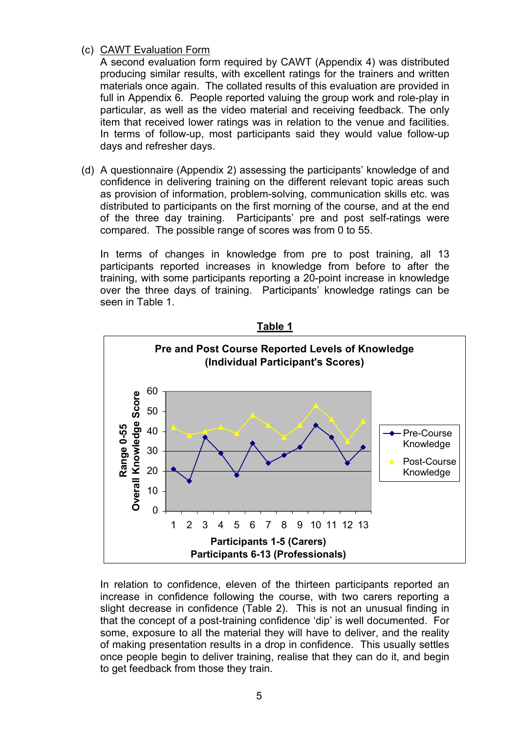(c) CAWT Evaluation Form

A second evaluation form required by CAWT (Appendix 4) was distributed producing similar results, with excellent ratings for the trainers and written materials once again. The collated results of this evaluation are provided in full in Appendix 6. People reported valuing the group work and role-play in particular, as well as the video material and receiving feedback. The only item that received lower ratings was in relation to the venue and facilities. In terms of follow-up, most participants said they would value follow-up days and refresher days.

(d) A questionnaire (Appendix 2) assessing the participants' knowledge of and confidence in delivering training on the different relevant topic areas such as provision of information, problem-solving, communication skills etc. was distributed to participants on the first morning of the course, and at the end of the three day training. Participants' pre and post self-ratings were compared. The possible range of scores was from 0 to 55.

In terms of changes in knowledge from pre to post training, all 13 participants reported increases in knowledge from before to after the training, with some participants reporting a 20-point increase in knowledge over the three days of training. Participants' knowledge ratings can be seen in Table 1.



In relation to confidence, eleven of the thirteen participants reported an increase in confidence following the course, with two carers reporting a slight decrease in confidence (Table 2). This is not an unusual finding in that the concept of a post-training confidence 'dip' is well documented. For some, exposure to all the material they will have to deliver, and the reality of making presentation results in a drop in confidence. This usually settles once people begin to deliver training, realise that they can do it, and begin to get feedback from those they train.

**Table 1**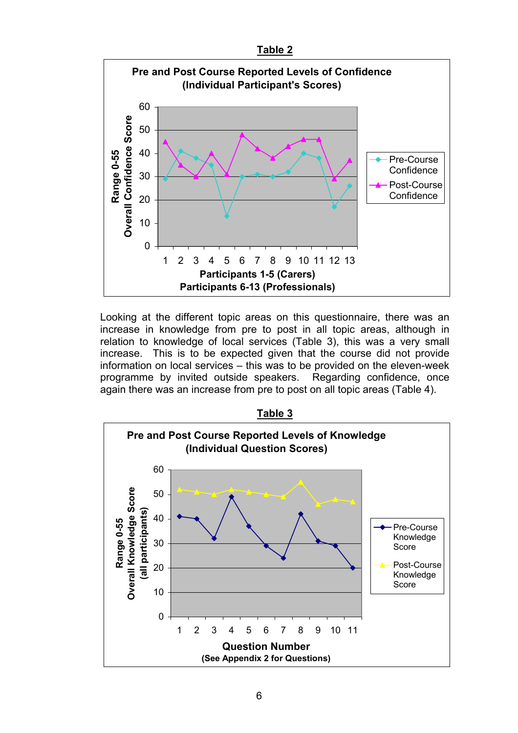

Looking at the different topic areas on this questionnaire, there was an increase in knowledge from pre to post in all topic areas, although in relation to knowledge of local services (Table 3), this was a very small increase. This is to be expected given that the course did not provide information on local services – this was to be provided on the eleven-week programme by invited outside speakers. Regarding confidence, once again there was an increase from pre to post on all topic areas (Table 4).

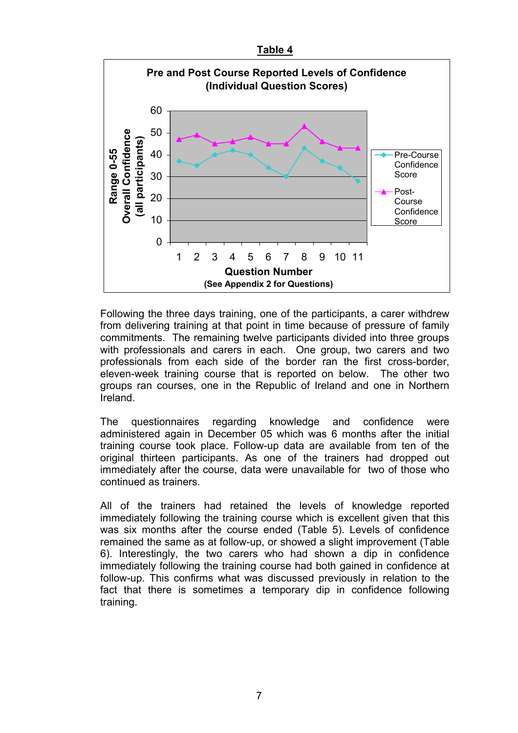



Following the three days training, one of the participants, a carer withdrew from delivering training at that point in time because of pressure of family commitments. The remaining twelve participants divided into three groups with professionals and carers in each. One group, two carers and two professionals from each side of the border ran the first cross-border, eleven-week training course that is reported on below. The other two groups ran courses, one in the Republic of Ireland and one in Northern Ireland.

The questionnaires regarding knowledge and confidence were administered again in December 05 which was 6 months after the initial training course took place. Follow-up data are available from ten of the original thirteen participants. As one of the trainers had dropped out immediately after the course, data were unavailable for two of those who continued as trainers.

All of the trainers had retained the levels of knowledge reported immediately following the training course which is excellent given that this was six months after the course ended (Table 5). Levels of confidence remained the same as at follow-up, or showed a slight improvement (Table 6). Interestingly, the two carers who had shown a dip in confidence immediately following the training course had both gained in confidence at follow-up. This confirms what was discussed previously in relation to the fact that there is sometimes a temporary dip in confidence following training.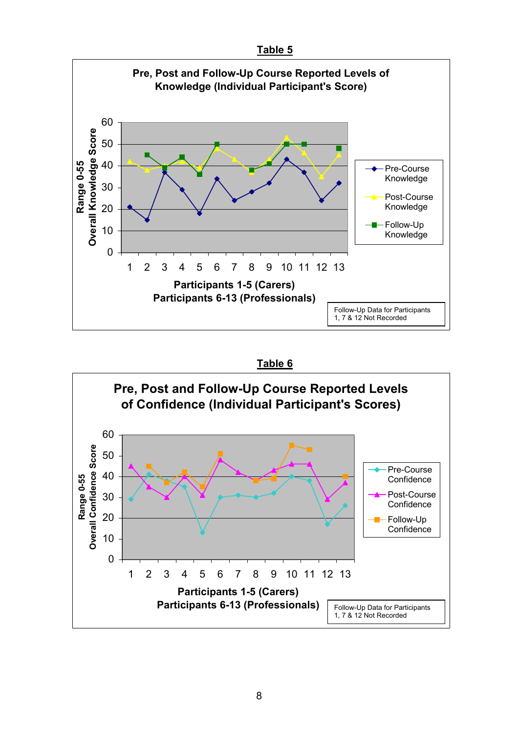



**Table 6**

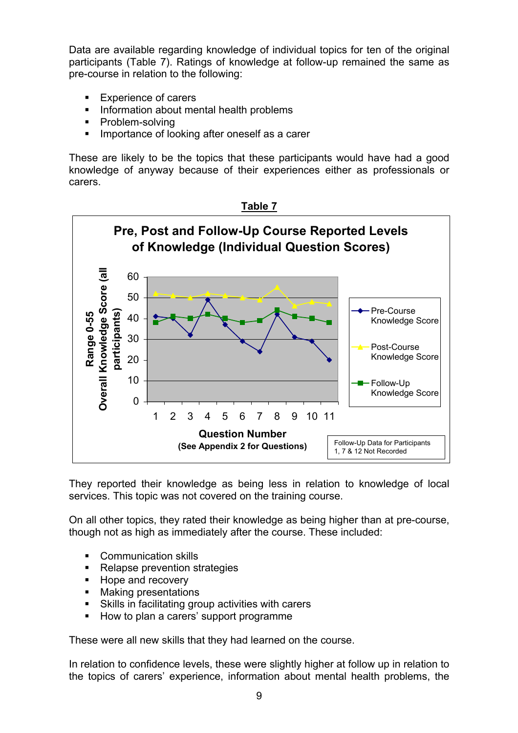Data are available regarding knowledge of individual topics for ten of the original participants (Table 7). Ratings of knowledge at follow-up remained the same as pre-course in relation to the following:

- Experience of carers
- **Information about mental health problems**
- Problem-solving
- Importance of looking after oneself as a carer

These are likely to be the topics that these participants would have had a good knowledge of anyway because of their experiences either as professionals or carers.



They reported their knowledge as being less in relation to knowledge of local services. This topic was not covered on the training course.

On all other topics, they rated their knowledge as being higher than at pre-course, though not as high as immediately after the course. These included:

- **Communication skills**
- Relapse prevention strategies
- Hope and recovery
- **Making presentations**
- Skills in facilitating group activities with carers
- How to plan a carers' support programme

These were all new skills that they had learned on the course.

In relation to confidence levels, these were slightly higher at follow up in relation to the topics of carers' experience, information about mental health problems, the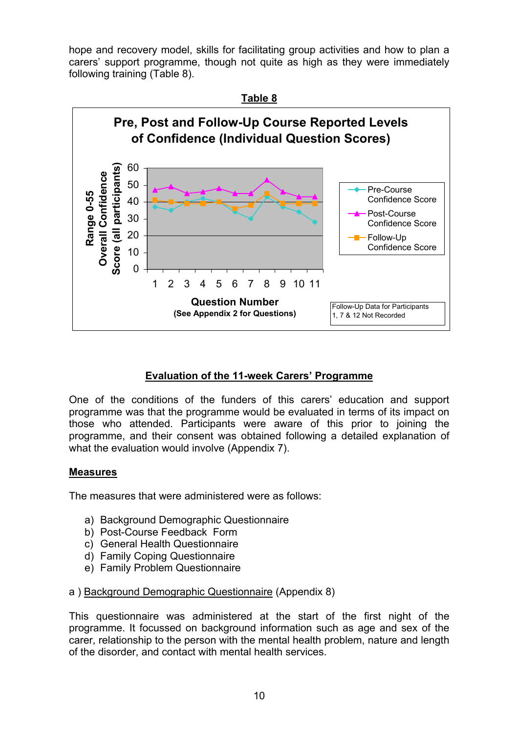hope and recovery model, skills for facilitating group activities and how to plan a carers' support programme, though not quite as high as they were immediately following training (Table 8).



### **Evaluation of the 11-week Carers' Programme**

One of the conditions of the funders of this carers' education and support programme was that the programme would be evaluated in terms of its impact on those who attended. Participants were aware of this prior to joining the programme, and their consent was obtained following a detailed explanation of what the evaluation would involve (Appendix 7).

### **Measures**

The measures that were administered were as follows:

- a) Background Demographic Questionnaire
- b) Post-Course Feedback Form
- c) General Health Questionnaire
- d) Family Coping Questionnaire
- e) Family Problem Questionnaire

### a ) Background Demographic Questionnaire (Appendix 8)

This questionnaire was administered at the start of the first night of the programme. It focussed on background information such as age and sex of the carer, relationship to the person with the mental health problem, nature and length of the disorder, and contact with mental health services.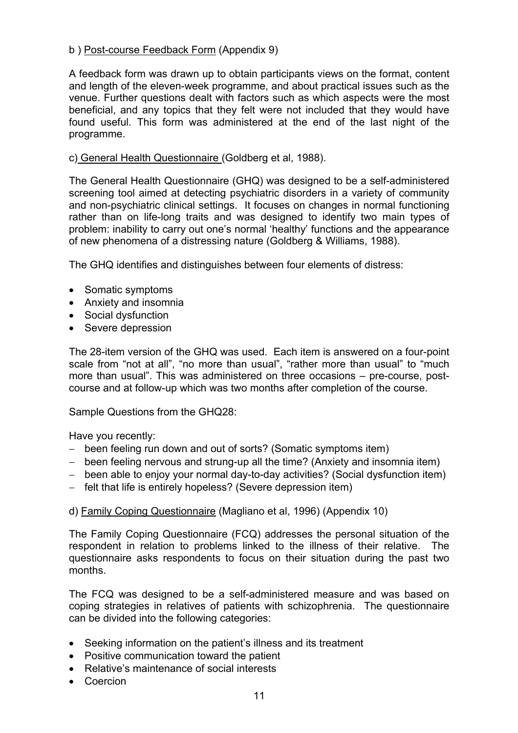### b ) Post-course Feedback Form (Appendix 9)

A feedback form was drawn up to obtain participants views on the format, content and length of the eleven-week programme, and about practical issues such as the venue. Further questions dealt with factors such as which aspects were the most beneficial, and any topics that they felt were not included that they would have found useful. This form was administered at the end of the last night of the programme.

### c) General Health Questionnaire (Goldberg et al, 1988).

The General Health Questionnaire (GHQ) was designed to be a self-administered screening tool aimed at detecting psychiatric disorders in a variety of community and non-psychiatric clinical settings. It focuses on changes in normal functioning rather than on life-long traits and was designed to identify two main types of problem: inability to carry out one's normal 'healthy' functions and the appearance of new phenomena of a distressing nature (Goldberg & Williams, 1988).

The GHQ identifies and distinguishes between four elements of distress:

- Somatic symptoms
- Anxiety and insomnia
- Social dysfunction
- Severe depression

The 28-item version of the GHQ was used. Each item is answered on a four-point scale from "not at all", "no more than usual", "rather more than usual" to "much more than usual". This was administered on three occasions – pre-course, postcourse and at follow-up which was two months after completion of the course.

Sample Questions from the GHQ28:

Have you recently:

- − been feeling run down and out of sorts? (Somatic symptoms item)
- − been feeling nervous and strung-up all the time? (Anxiety and insomnia item)
- − been able to enjoy your normal day-to-day activities? (Social dysfunction item)
- − felt that life is entirely hopeless? (Severe depression item)

d) Family Coping Questionnaire (Magliano et al, 1996) (Appendix 10)

The Family Coping Questionnaire (FCQ) addresses the personal situation of the respondent in relation to problems linked to the illness of their relative. The questionnaire asks respondents to focus on their situation during the past two months.

The FCQ was designed to be a self-administered measure and was based on coping strategies in relatives of patients with schizophrenia. The questionnaire can be divided into the following categories:

- Seeking information on the patient's illness and its treatment
- Positive communication toward the patient
- Relative's maintenance of social interests
- Coercion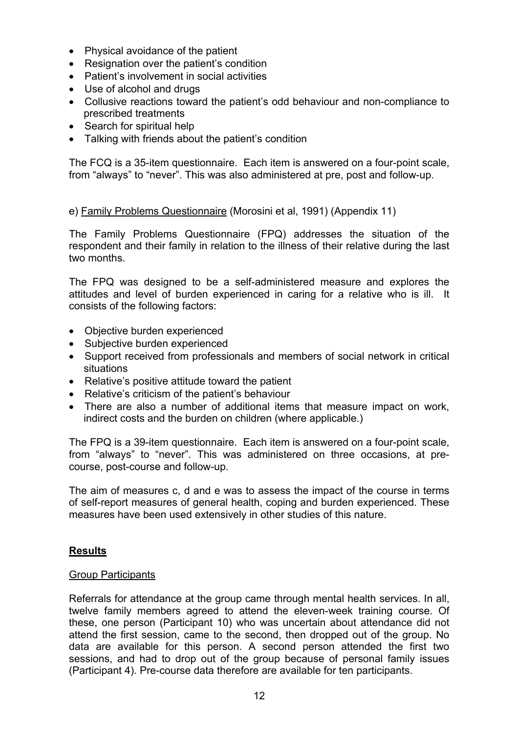- Physical avoidance of the patient
- Resignation over the patient's condition
- Patient's involvement in social activities
- Use of alcohol and drugs
- Collusive reactions toward the patient's odd behaviour and non-compliance to prescribed treatments
- Search for spiritual help
- Talking with friends about the patient's condition

The FCQ is a 35-item questionnaire. Each item is answered on a four-point scale, from "always" to "never". This was also administered at pre, post and follow-up.

e) Family Problems Questionnaire (Morosini et al, 1991) (Appendix 11)

The Family Problems Questionnaire (FPQ) addresses the situation of the respondent and their family in relation to the illness of their relative during the last two months.

The FPQ was designed to be a self-administered measure and explores the attitudes and level of burden experienced in caring for a relative who is ill. It consists of the following factors:

- Objective burden experienced
- Subjective burden experienced
- Support received from professionals and members of social network in critical situations
- Relative's positive attitude toward the patient
- Relative's criticism of the patient's behaviour
- There are also a number of additional items that measure impact on work, indirect costs and the burden on children (where applicable.)

The FPQ is a 39-item questionnaire. Each item is answered on a four-point scale, from "always" to "never". This was administered on three occasions, at precourse, post-course and follow-up.

The aim of measures c, d and e was to assess the impact of the course in terms of self-report measures of general health, coping and burden experienced. These measures have been used extensively in other studies of this nature.

### **Results**

### Group Participants

Referrals for attendance at the group came through mental health services. In all, twelve family members agreed to attend the eleven-week training course. Of these, one person (Participant 10) who was uncertain about attendance did not attend the first session, came to the second, then dropped out of the group. No data are available for this person. A second person attended the first two sessions, and had to drop out of the group because of personal family issues (Participant 4). Pre-course data therefore are available for ten participants.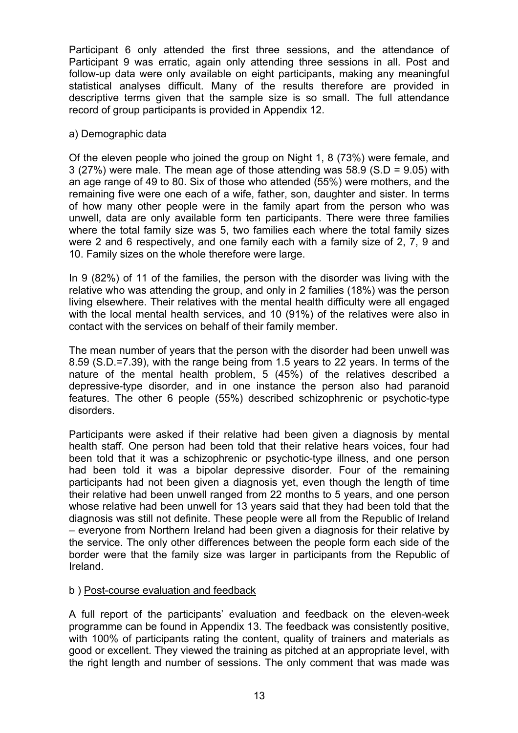Participant 6 only attended the first three sessions, and the attendance of Participant 9 was erratic, again only attending three sessions in all. Post and follow-up data were only available on eight participants, making any meaningful statistical analyses difficult. Many of the results therefore are provided in descriptive terms given that the sample size is so small. The full attendance record of group participants is provided in Appendix 12.

### a) Demographic data

Of the eleven people who joined the group on Night 1, 8 (73%) were female, and 3 (27%) were male. The mean age of those attending was 58.9 (S.D = 9.05) with an age range of 49 to 80. Six of those who attended (55%) were mothers, and the remaining five were one each of a wife, father, son, daughter and sister. In terms of how many other people were in the family apart from the person who was unwell, data are only available form ten participants. There were three families where the total family size was 5, two families each where the total family sizes were 2 and 6 respectively, and one family each with a family size of 2, 7, 9 and 10. Family sizes on the whole therefore were large.

In 9 (82%) of 11 of the families, the person with the disorder was living with the relative who was attending the group, and only in 2 families (18%) was the person living elsewhere. Their relatives with the mental health difficulty were all engaged with the local mental health services, and 10 (91%) of the relatives were also in contact with the services on behalf of their family member.

The mean number of years that the person with the disorder had been unwell was 8.59 (S.D.=7.39), with the range being from 1.5 years to 22 years. In terms of the nature of the mental health problem, 5 (45%) of the relatives described a depressive-type disorder, and in one instance the person also had paranoid features. The other 6 people (55%) described schizophrenic or psychotic-type disorders.

Participants were asked if their relative had been given a diagnosis by mental health staff. One person had been told that their relative hears voices, four had been told that it was a schizophrenic or psychotic-type illness, and one person had been told it was a bipolar depressive disorder. Four of the remaining participants had not been given a diagnosis yet, even though the length of time their relative had been unwell ranged from 22 months to 5 years, and one person whose relative had been unwell for 13 years said that they had been told that the diagnosis was still not definite. These people were all from the Republic of Ireland – everyone from Northern Ireland had been given a diagnosis for their relative by the service. The only other differences between the people form each side of the border were that the family size was larger in participants from the Republic of Ireland.

### b ) Post-course evaluation and feedback

A full report of the participants' evaluation and feedback on the eleven-week programme can be found in Appendix 13. The feedback was consistently positive, with 100% of participants rating the content, quality of trainers and materials as good or excellent. They viewed the training as pitched at an appropriate level, with the right length and number of sessions. The only comment that was made was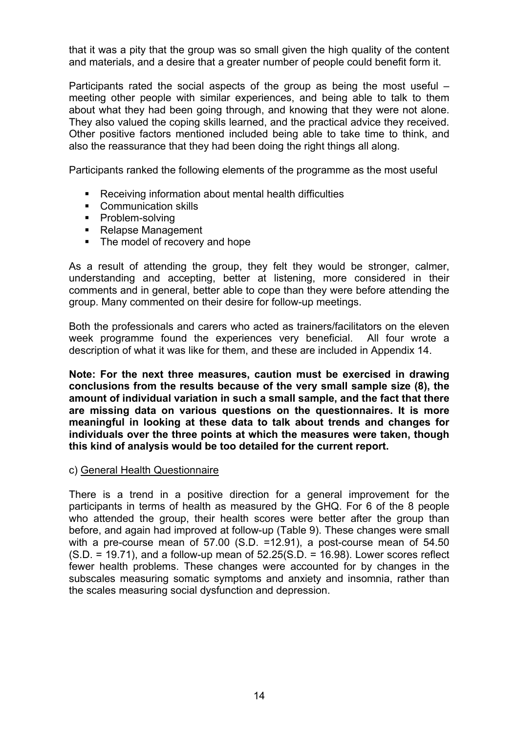that it was a pity that the group was so small given the high quality of the content and materials, and a desire that a greater number of people could benefit form it.

Participants rated the social aspects of the group as being the most useful – meeting other people with similar experiences, and being able to talk to them about what they had been going through, and knowing that they were not alone. They also valued the coping skills learned, and the practical advice they received. Other positive factors mentioned included being able to take time to think, and also the reassurance that they had been doing the right things all along.

Participants ranked the following elements of the programme as the most useful

- Receiving information about mental health difficulties
- Communication skills
- Problem-solving
- Relapse Management
- The model of recovery and hope

As a result of attending the group, they felt they would be stronger, calmer, understanding and accepting, better at listening, more considered in their comments and in general, better able to cope than they were before attending the group. Many commented on their desire for follow-up meetings.

Both the professionals and carers who acted as trainers/facilitators on the eleven week programme found the experiences very beneficial. All four wrote a description of what it was like for them, and these are included in Appendix 14.

**Note: For the next three measures, caution must be exercised in drawing conclusions from the results because of the very small sample size (8), the amount of individual variation in such a small sample, and the fact that there are missing data on various questions on the questionnaires. It is more meaningful in looking at these data to talk about trends and changes for individuals over the three points at which the measures were taken, though this kind of analysis would be too detailed for the current report.** 

### c) General Health Questionnaire

There is a trend in a positive direction for a general improvement for the participants in terms of health as measured by the GHQ. For 6 of the 8 people who attended the group, their health scores were better after the group than before, and again had improved at follow-up (Table 9). These changes were small with a pre-course mean of 57.00 (S.D. =12.91), a post-course mean of 54.50  $(S.D. = 19.71)$ , and a follow-up mean of  $52.25(S.D. = 16.98)$ . Lower scores reflect fewer health problems. These changes were accounted for by changes in the subscales measuring somatic symptoms and anxiety and insomnia, rather than the scales measuring social dysfunction and depression.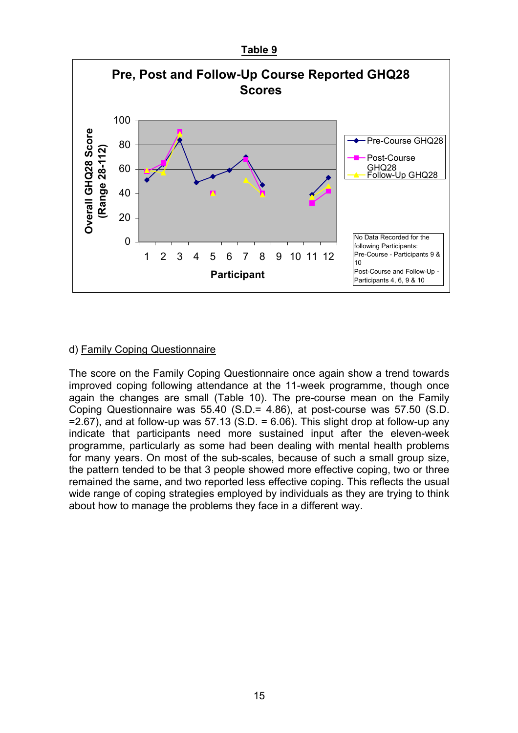

### d) Family Coping Questionnaire

The score on the Family Coping Questionnaire once again show a trend towards improved coping following attendance at the 11-week programme, though once again the changes are small (Table 10). The pre-course mean on the Family Coping Questionnaire was 55.40 (S.D.= 4.86), at post-course was 57.50 (S.D.  $=$  2.67), and at follow-up was 57.13 (S.D.  $=$  6.06). This slight drop at follow-up any indicate that participants need more sustained input after the eleven-week programme, particularly as some had been dealing with mental health problems for many years. On most of the sub-scales, because of such a small group size, the pattern tended to be that 3 people showed more effective coping, two or three remained the same, and two reported less effective coping. This reflects the usual wide range of coping strategies employed by individuals as they are trying to think about how to manage the problems they face in a different way.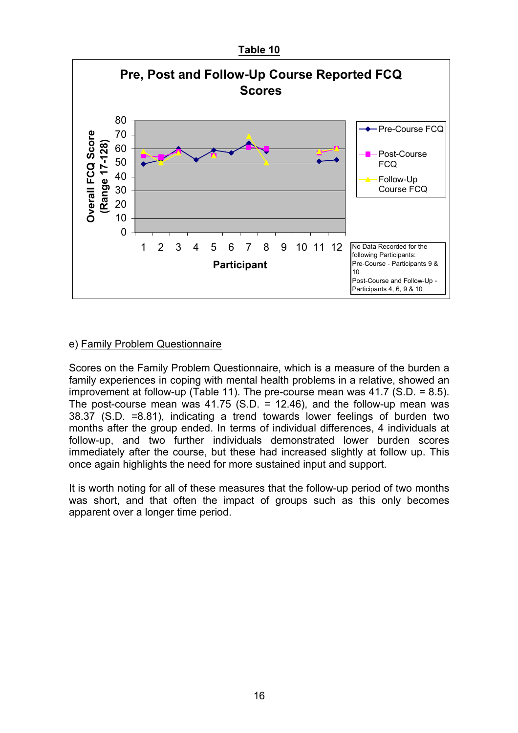

### e) Family Problem Questionnaire

Scores on the Family Problem Questionnaire, which is a measure of the burden a family experiences in coping with mental health problems in a relative, showed an improvement at follow-up (Table 11). The pre-course mean was 41.7 (S.D. = 8.5). The post-course mean was  $41.75$  (S.D. = 12.46), and the follow-up mean was 38.37 (S.D. =8.81), indicating a trend towards lower feelings of burden two months after the group ended. In terms of individual differences, 4 individuals at follow-up, and two further individuals demonstrated lower burden scores immediately after the course, but these had increased slightly at follow up. This once again highlights the need for more sustained input and support.

It is worth noting for all of these measures that the follow-up period of two months was short, and that often the impact of groups such as this only becomes apparent over a longer time period.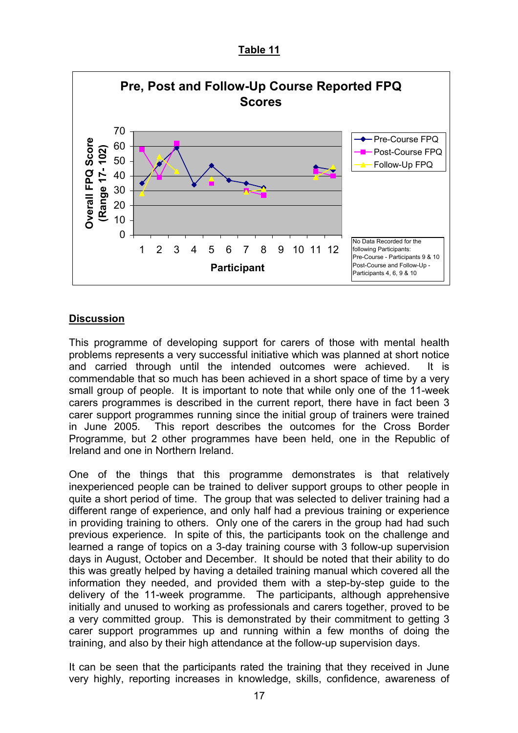### **Table 11**



### **Discussion**

This programme of developing support for carers of those with mental health problems represents a very successful initiative which was planned at short notice and carried through until the intended outcomes were achieved. It is commendable that so much has been achieved in a short space of time by a very small group of people. It is important to note that while only one of the 11-week carers programmes is described in the current report, there have in fact been 3 carer support programmes running since the initial group of trainers were trained in June 2005. This report describes the outcomes for the Cross Border Programme, but 2 other programmes have been held, one in the Republic of Ireland and one in Northern Ireland.

One of the things that this programme demonstrates is that relatively inexperienced people can be trained to deliver support groups to other people in quite a short period of time. The group that was selected to deliver training had a different range of experience, and only half had a previous training or experience in providing training to others. Only one of the carers in the group had had such previous experience. In spite of this, the participants took on the challenge and learned a range of topics on a 3-day training course with 3 follow-up supervision days in August, October and December. It should be noted that their ability to do this was greatly helped by having a detailed training manual which covered all the information they needed, and provided them with a step-by-step guide to the delivery of the 11-week programme. The participants, although apprehensive initially and unused to working as professionals and carers together, proved to be a very committed group. This is demonstrated by their commitment to getting 3 carer support programmes up and running within a few months of doing the training, and also by their high attendance at the follow-up supervision days.

It can be seen that the participants rated the training that they received in June very highly, reporting increases in knowledge, skills, confidence, awareness of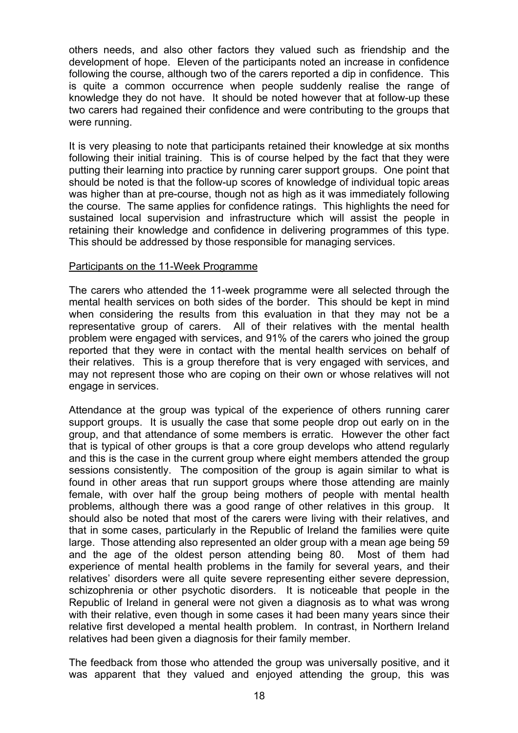others needs, and also other factors they valued such as friendship and the development of hope. Eleven of the participants noted an increase in confidence following the course, although two of the carers reported a dip in confidence. This is quite a common occurrence when people suddenly realise the range of knowledge they do not have. It should be noted however that at follow-up these two carers had regained their confidence and were contributing to the groups that were running.

It is very pleasing to note that participants retained their knowledge at six months following their initial training. This is of course helped by the fact that they were putting their learning into practice by running carer support groups. One point that should be noted is that the follow-up scores of knowledge of individual topic areas was higher than at pre-course, though not as high as it was immediately following the course. The same applies for confidence ratings. This highlights the need for sustained local supervision and infrastructure which will assist the people in retaining their knowledge and confidence in delivering programmes of this type. This should be addressed by those responsible for managing services.

### Participants on the 11-Week Programme

The carers who attended the 11-week programme were all selected through the mental health services on both sides of the border. This should be kept in mind when considering the results from this evaluation in that they may not be a representative group of carers. All of their relatives with the mental health problem were engaged with services, and 91% of the carers who joined the group reported that they were in contact with the mental health services on behalf of their relatives. This is a group therefore that is very engaged with services, and may not represent those who are coping on their own or whose relatives will not engage in services.

Attendance at the group was typical of the experience of others running carer support groups. It is usually the case that some people drop out early on in the group, and that attendance of some members is erratic. However the other fact that is typical of other groups is that a core group develops who attend regularly and this is the case in the current group where eight members attended the group sessions consistently. The composition of the group is again similar to what is found in other areas that run support groups where those attending are mainly female, with over half the group being mothers of people with mental health problems, although there was a good range of other relatives in this group. It should also be noted that most of the carers were living with their relatives, and that in some cases, particularly in the Republic of Ireland the families were quite large. Those attending also represented an older group with a mean age being 59 and the age of the oldest person attending being 80. Most of them had experience of mental health problems in the family for several years, and their relatives' disorders were all quite severe representing either severe depression, schizophrenia or other psychotic disorders. It is noticeable that people in the Republic of Ireland in general were not given a diagnosis as to what was wrong with their relative, even though in some cases it had been many years since their relative first developed a mental health problem. In contrast, in Northern Ireland relatives had been given a diagnosis for their family member.

The feedback from those who attended the group was universally positive, and it was apparent that they valued and enjoyed attending the group, this was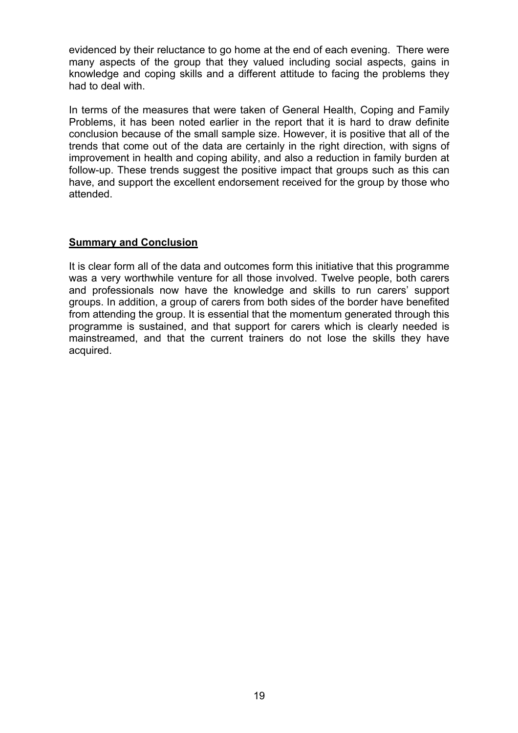evidenced by their reluctance to go home at the end of each evening. There were many aspects of the group that they valued including social aspects, gains in knowledge and coping skills and a different attitude to facing the problems they had to deal with.

In terms of the measures that were taken of General Health, Coping and Family Problems, it has been noted earlier in the report that it is hard to draw definite conclusion because of the small sample size. However, it is positive that all of the trends that come out of the data are certainly in the right direction, with signs of improvement in health and coping ability, and also a reduction in family burden at follow-up. These trends suggest the positive impact that groups such as this can have, and support the excellent endorsement received for the group by those who attended.

### **Summary and Conclusion**

It is clear form all of the data and outcomes form this initiative that this programme was a very worthwhile venture for all those involved. Twelve people, both carers and professionals now have the knowledge and skills to run carers' support groups. In addition, a group of carers from both sides of the border have benefited from attending the group. It is essential that the momentum generated through this programme is sustained, and that support for carers which is clearly needed is mainstreamed, and that the current trainers do not lose the skills they have acquired.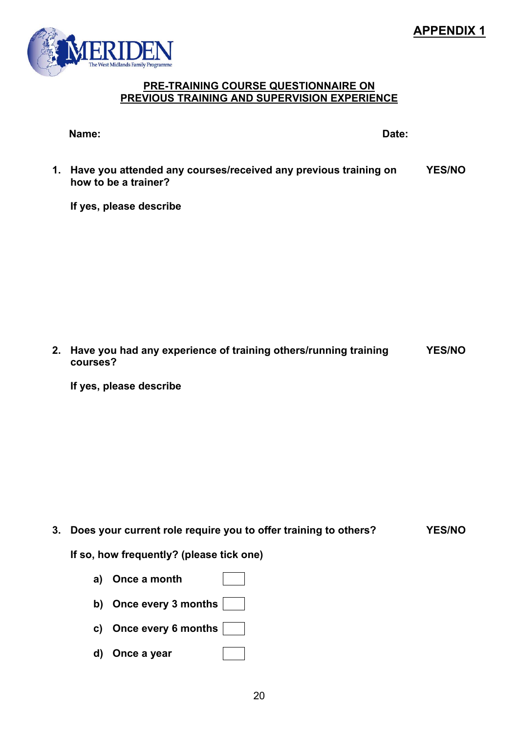# **APPENDIX 1**



### **PRE-TRAINING COURSE QUESTIONNAIRE ON PREVIOUS TRAINING AND SUPERVISION EXPERIENCE**

| Name: |  | Date: |
|-------|--|-------|
|       |  |       |

**1. Have you attended any courses/received any previous training on how to be a trainer? YES/NO**

**If yes, please describe** 

**2. Have you had any experience of training others/running training courses? YES/NO**

**If yes, please describe** 

**3. Does your current role require you to offer training to others? YES/NO**

**If so, how frequently? (please tick one)** 

- **a) Once a month**
- **b) Once every 3 months**
- **c) Once every 6 months**
- **d) Once a year**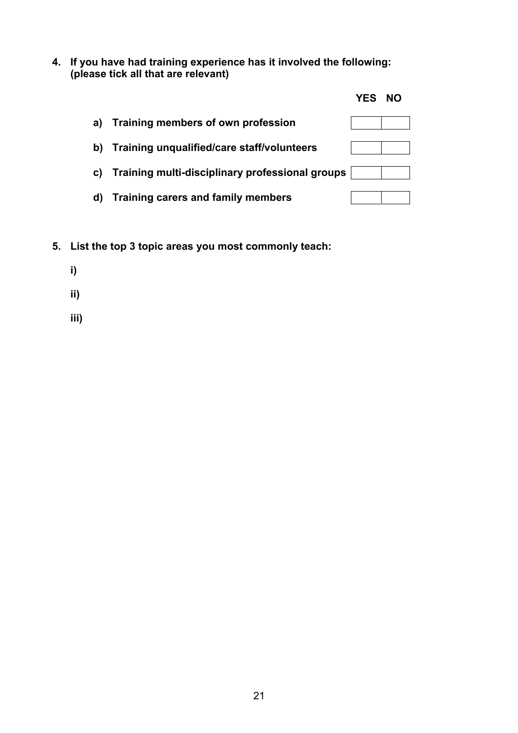**4. If you have had training experience has it involved the following: (please tick all that are relevant)** 

|    |                                                 | <b>YES</b> | <b>NO</b> |  |
|----|-------------------------------------------------|------------|-----------|--|
| a) | Training members of own profession              |            |           |  |
| b) | Training unqualified/care staff/volunteers      |            |           |  |
| C) | Training multi-disciplinary professional groups |            |           |  |
| d) | Training carers and family members              |            |           |  |

- **5. List the top 3 topic areas you most commonly teach:** 
	- **i)**
	- **ii)**
	- **iii)**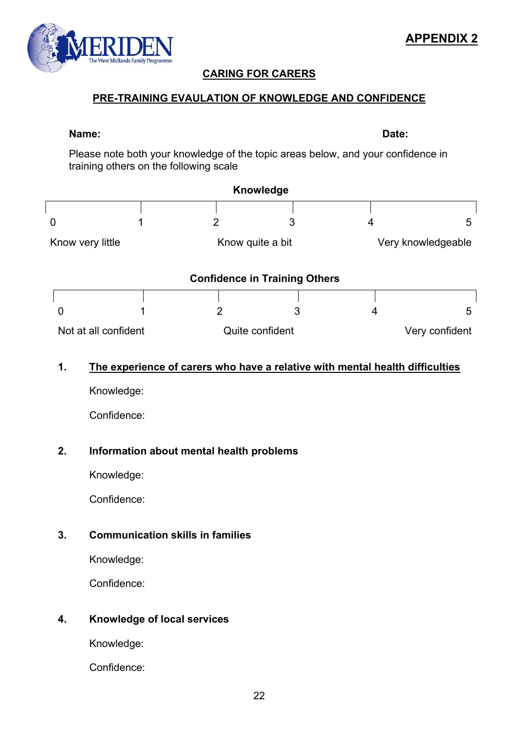# **CARING FOR CARERS**

# **PRE-TRAINING EVAULATION OF KNOWLEDGE AND CONFIDENCE**

Please note both your knowledge of the topic areas below, and your confidence in

|                      | training others on the following scale |   |                                      |   |                    |
|----------------------|----------------------------------------|---|--------------------------------------|---|--------------------|
|                      |                                        |   | <b>Knowledge</b>                     |   |                    |
|                      |                                        |   |                                      |   |                    |
| 0                    |                                        | 2 | 3                                    | 4 | 5                  |
| Know very little     | Know quite a bit                       |   |                                      |   | Very knowledgeable |
|                      |                                        |   | <b>Confidence in Training Others</b> |   |                    |
|                      |                                        |   |                                      |   |                    |
| 0                    |                                        |   | 3                                    |   | 5                  |
| Not at all confident |                                        |   | Quite confident                      |   | Very confident     |

### **1. The experience of carers who have a relative with mental health difficulties**

Knowledge:

Confidence:

### **2. Information about mental health problems**

Knowledge:

Confidence:

# **3. Communication skills in families**

Knowledge:

Confidence:

### **4. Knowledge of local services**

Knowledge:

Confidence:



 $\overline{\Gamma}$ 

**Name: Date:**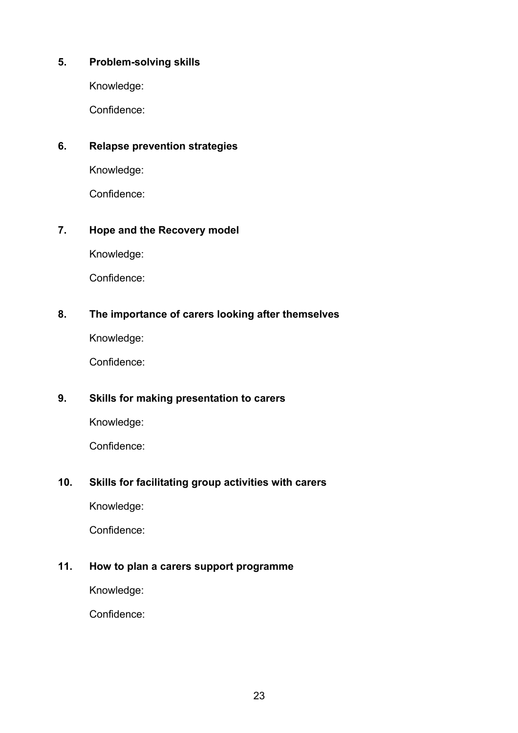### **5. Problem-solving skills**

Knowledge:

Confidence:

### **6. Relapse prevention strategies**

Knowledge:

Confidence:

### **7. Hope and the Recovery model**

Knowledge:

Confidence:

### **8. The importance of carers looking after themselves**

Knowledge:

Confidence:

### **9. Skills for making presentation to carers**

Knowledge:

Confidence:

### **10. Skills for facilitating group activities with carers**

Knowledge:

Confidence:

### **11. How to plan a carers support programme**

Knowledge:

Confidence: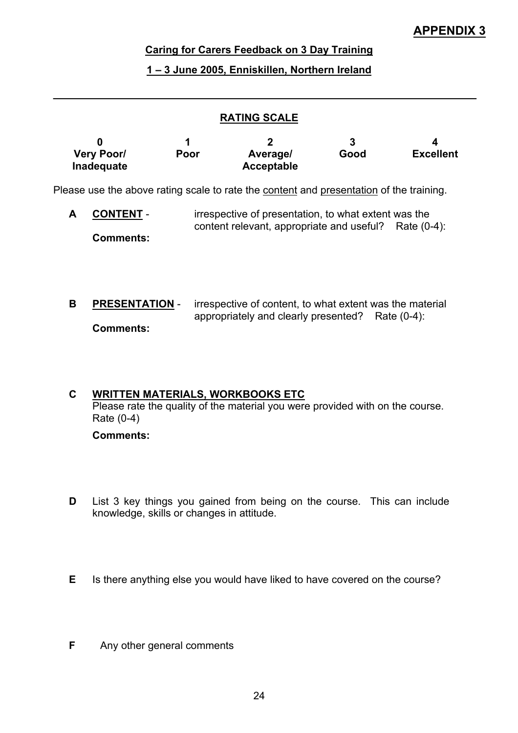# **APPENDIX 3**

### **Caring for Carers Feedback on 3 Day Training**

### **1 – 3 June 2005, Enniskillen, Northern Ireland**

### **RATING SCALE**

|                                 |      |                        |      | 4                |
|---------------------------------|------|------------------------|------|------------------|
| <b>Very Poor/</b><br>Inadequate | Poor | Average/<br>Acceptable | Good | <b>Excellent</b> |

Please use the above rating scale to rate the content and presentation of the training.

- **A CONTENT** irrespective of presentation, to what extent was the content relevant, appropriate and useful? Rate (0-4): **Comments:**
- **B PRESENTATION** irrespective of content, to what extent was the material appropriately and clearly presented? Rate (0-4): **Comments:**

# **C WRITTEN MATERIALS, WORKBOOKS ETC** Please rate the quality of the material you were provided with on the course. Rate (0-4)

 **Comments:** 

- **D** List 3 key things you gained from being on the course. This can include knowledge, skills or changes in attitude.
- **E** Is there anything else you would have liked to have covered on the course?
- **F** Any other general comments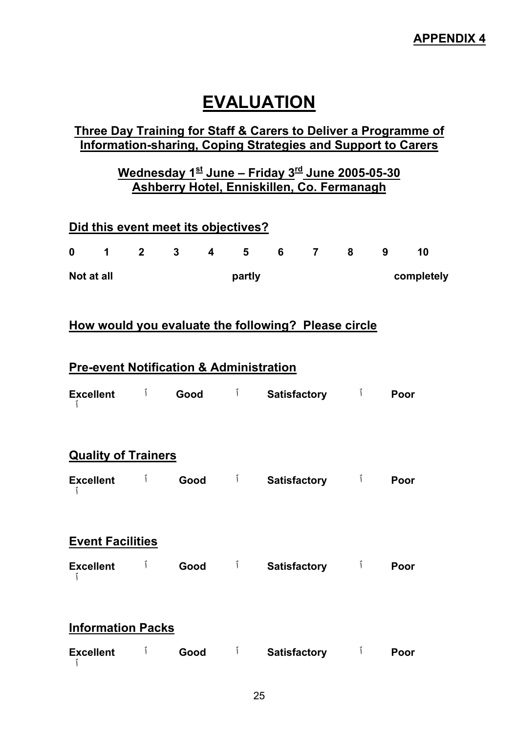# **EVALUATION**

# **Three Day Training for Staff & Carers to Deliver a Programme of Information-sharing, Coping Strategies and Support to Carers**

# **Wednesday 1st June – Friday 3rd June 2005-05-30 Ashberry Hotel, Enniskillen, Co. Fermanagh**

|                  | Did this event meet its objectives?                |         |             |                         |             |                                                              |       |      |            |
|------------------|----------------------------------------------------|---------|-------------|-------------------------|-------------|--------------------------------------------------------------|-------|------|------------|
| $\mathbf 0$      |                                                    | $1 \t2$ | $3^{\circ}$ | $\overline{\mathbf{4}}$ | $5^{\circ}$ |                                                              | 6 7 8 | 9    | 10         |
| Not at all       |                                                    |         |             |                         | partly      |                                                              |       |      | completely |
|                  |                                                    |         |             |                         |             |                                                              |       |      |            |
|                  |                                                    |         |             |                         |             | How would you evaluate the following? Please circle          |       |      |            |
|                  | <b>Pre-event Notification &amp; Administration</b> |         |             |                         |             |                                                              |       |      |            |
|                  |                                                    |         |             |                         |             | Excellent <sup>í</sup> Good <sup>í</sup> Satisfactory í<br>Í |       | Poor |            |
|                  |                                                    |         |             |                         |             |                                                              |       |      |            |
|                  | <b>Quality of Trainers</b>                         |         |             |                         |             |                                                              |       |      |            |
|                  |                                                    |         |             |                         |             | Good i Satisfactory i                                        |       | Poor |            |
|                  |                                                    |         |             |                         |             |                                                              |       |      |            |
|                  | <b>Event Facilities</b>                            |         |             |                         |             |                                                              |       |      |            |
|                  | Excellent <b>i</b>                                 |         |             |                         |             | Good i Satisfactory i                                        |       | Poor |            |
|                  |                                                    |         |             |                         |             |                                                              |       |      |            |
|                  | <b>Information Packs</b>                           |         |             |                         |             |                                                              |       |      |            |
| <b>Excellent</b> |                                                    | $\int$  |             |                         |             | Good i Satisfactory i                                        |       | Poor |            |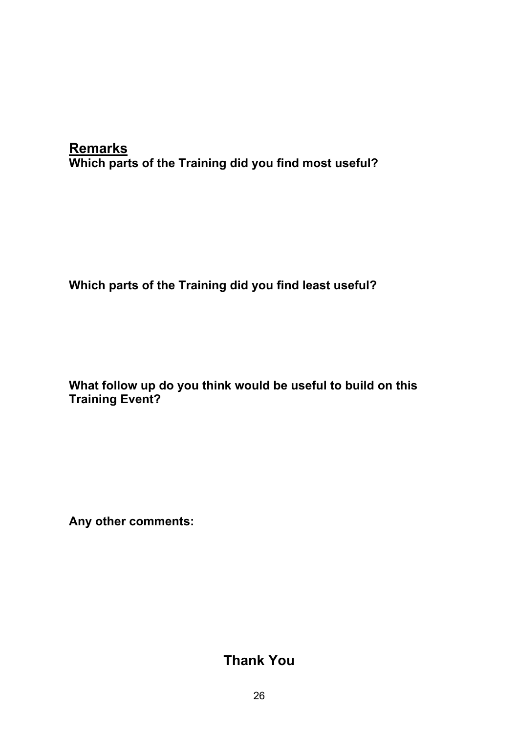# **Remarks Which parts of the Training did you find most useful?**

# **Which parts of the Training did you find least useful?**

**What follow up do you think would be useful to build on this Training Event?** 

**Any other comments:** 

**Thank You**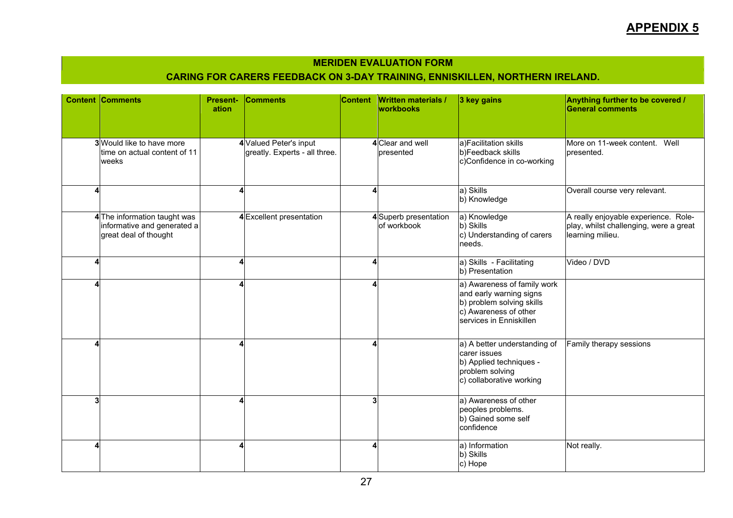# **APPENDIX 5**

#### **MERIDEN EVALUATION FORM**

### **CARING FOR CARERS FEEDBACK ON 3-DAY TRAINING, ENNISKILLEN, NORTHERN IRELAND.**

|   | <b>Content Comments</b>                                                             | <b>Present-</b><br>ation | <b>Comments</b>                                         | <b>Content</b> | <b>Written materials /</b><br><b>workbooks</b> | 3 key gains                                                                                                                             | Anything further to be covered /<br><b>General comments</b>                                        |
|---|-------------------------------------------------------------------------------------|--------------------------|---------------------------------------------------------|----------------|------------------------------------------------|-----------------------------------------------------------------------------------------------------------------------------------------|----------------------------------------------------------------------------------------------------|
|   | 3 Would like to have more<br>ltime on actual content of 11<br>weeks                 |                          | 4 Valued Peter's input<br>greatly. Experts - all three. |                | 4 Clear and well<br>presented                  | a)Facilitation skills<br>b)Feedback skills<br>c)Confidence in co-working                                                                | More on 11-week content. Well<br>presented.                                                        |
| Δ |                                                                                     |                          |                                                         | 4              |                                                | a) Skills<br>b) Knowledge                                                                                                               | Overall course very relevant.                                                                      |
|   | 4The information taught was<br>informative and generated a<br>great deal of thought |                          | 4 Excellent presentation                                |                | 4 Superb presentation<br>of workbook           | a) Knowledge<br>b) Skills<br>c) Understanding of carers<br>needs.                                                                       | A really enjoyable experience. Role-<br>play, whilst challenging, were a great<br>learning milieu. |
| Δ |                                                                                     |                          |                                                         | $\overline{4}$ |                                                | a) Skills - Facilitating<br>b) Presentation                                                                                             | Video / DVD                                                                                        |
| Δ |                                                                                     |                          |                                                         | 4              |                                                | a) Awareness of family work<br>and early warning signs<br>b) problem solving skills<br>c) Awareness of other<br>services in Enniskillen |                                                                                                    |
|   |                                                                                     |                          |                                                         | 4              |                                                | a) A better understanding of<br>carer issues<br>b) Applied techniques -<br>problem solving<br>c) collaborative working                  | Family therapy sessions                                                                            |
| 3 |                                                                                     |                          |                                                         | 3              |                                                | a) Awareness of other<br>peoples problems.<br>b) Gained some self<br>confidence                                                         |                                                                                                    |
|   |                                                                                     |                          |                                                         | 4              |                                                | a) Information<br>b) Skills<br>c) Hope                                                                                                  | Not really.                                                                                        |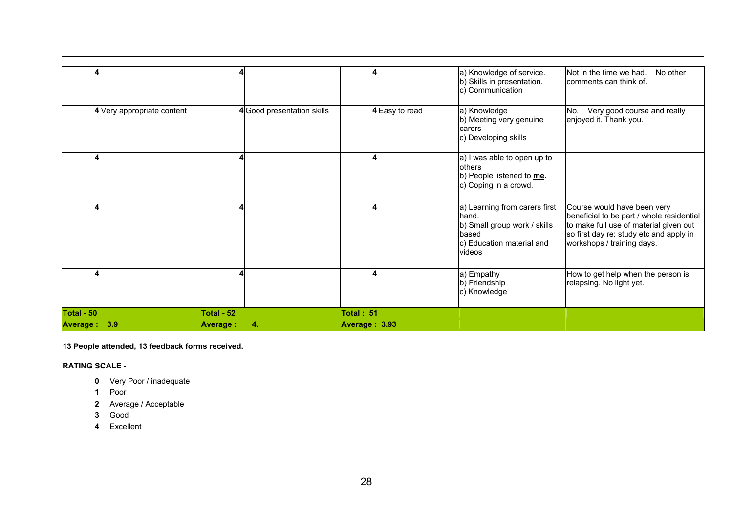|              |                            |                 |                           |               |                | a) Knowledge of service.                                                                                               | Not in the time we had.<br>No other                                                                                                                                                         |
|--------------|----------------------------|-----------------|---------------------------|---------------|----------------|------------------------------------------------------------------------------------------------------------------------|---------------------------------------------------------------------------------------------------------------------------------------------------------------------------------------------|
|              |                            |                 |                           |               |                | b) Skills in presentation.<br>c) Communication                                                                         | comments can think of.                                                                                                                                                                      |
|              | 4 Very appropriate content |                 | 4Good presentation skills |               | 4 Easy to read | a) Knowledge<br>b) Meeting very genuine<br>carers<br>c) Developing skills                                              | No. Very good course and really<br>enjoyed it. Thank you.                                                                                                                                   |
|              |                            |                 |                           |               |                | a) I was able to open up to<br>others<br>b) People listened to me.<br>c) Coping in a crowd.                            |                                                                                                                                                                                             |
|              |                            |                 |                           |               |                | a) Learning from carers first<br>hand.<br>b) Small group work / skills<br>based<br>c) Education material and<br>videos | Course would have been very<br>beneficial to be part / whole residential<br>to make full use of material given out<br>so first day re: study etc and apply in<br>workshops / training days. |
|              |                            |                 |                           |               |                | a) Empathy<br>b) Friendship<br>c) Knowledge                                                                            | How to get help when the person is<br>relapsing. No light yet.                                                                                                                              |
| Total - 50   |                            | Total - 52      |                           | Total: 51     |                |                                                                                                                        |                                                                                                                                                                                             |
| Average: 3.9 |                            | <b>Average:</b> | 4.                        | Average: 3.93 |                |                                                                                                                        |                                                                                                                                                                                             |

**13 People attended, 13 feedback forms received.** 

**RATING SCALE -** 

- **0** Very Poor / inadequate
- **1** Poor
- **2** Average / Acceptable
- **3** Good
- **4** Excellent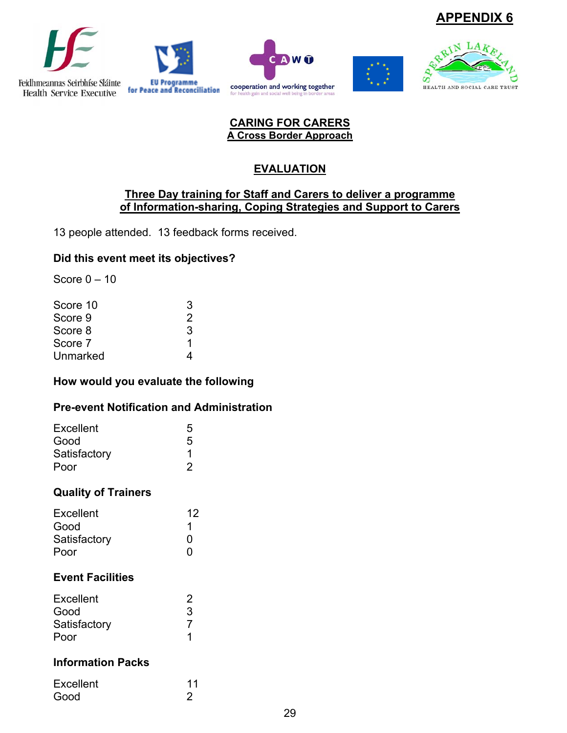









### **CARING FOR CARERS A Cross Border Approach**

# **EVALUATION**

### **Three Day training for Staff and Carers to deliver a programme of Information-sharing, Coping Strategies and Support to Carers**

13 people attended. 13 feedback forms received.

# **Did this event meet its objectives?**

Score  $0 - 10$ 

| Score 10 | 3             |
|----------|---------------|
| Score 9  | $\mathcal{P}$ |
| Score 8  | 3             |
| Score 7  | 1             |
| Unmarked |               |

# **How would you evaluate the following**

### **Pre-event Notification and Administration**

| 5             |
|---------------|
| 5             |
| 1             |
| $\mathcal{P}$ |
|               |

# **Quality of Trainers**

| Excellent    | 12 |
|--------------|----|
| Good         |    |
| Satisfactory | ŋ  |
| Poor         | n  |

# **Event Facilities**

| Excellent    | 2 |
|--------------|---|
| Good         | З |
| Satisfactory |   |
| Poor         |   |

# **Information Packs**

| Excellent | 11 |
|-----------|----|
| Good      | 2  |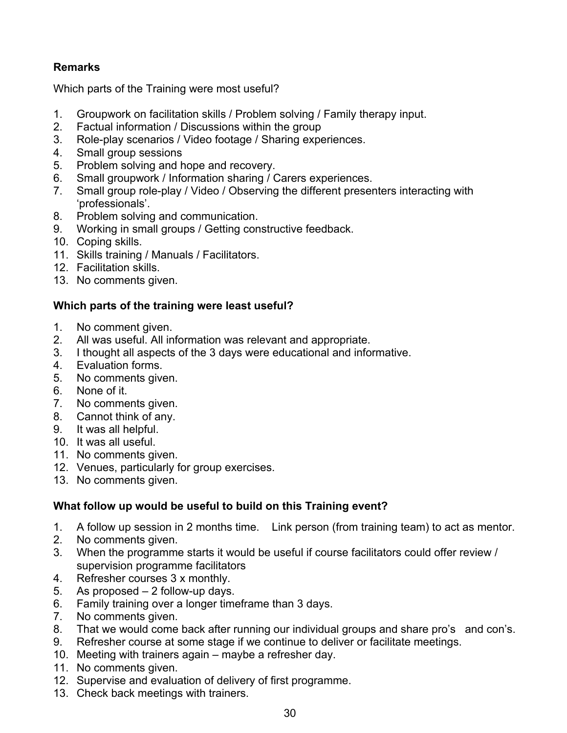# **Remarks**

Which parts of the Training were most useful?

- 1. Groupwork on facilitation skills / Problem solving / Family therapy input.
- 2. Factual information / Discussions within the group
- 3. Role-play scenarios / Video footage / Sharing experiences.
- 4. Small group sessions
- 5. Problem solving and hope and recovery.
- 6. Small groupwork / Information sharing / Carers experiences.
- 7. Small group role-play / Video / Observing the different presenters interacting with 'professionals'.
- 8. Problem solving and communication.
- 9. Working in small groups / Getting constructive feedback.
- 10. Coping skills.
- 11. Skills training / Manuals / Facilitators.
- 12. Facilitation skills.
- 13. No comments given.

### **Which parts of the training were least useful?**

- 1. No comment given.
- 2. All was useful. All information was relevant and appropriate.
- 3. I thought all aspects of the 3 days were educational and informative.
- 4. Evaluation forms.
- 5. No comments given.
- 6. None of it.
- 7. No comments given.
- 8. Cannot think of any.
- 9. It was all helpful.
- 10. It was all useful.
- 11. No comments given.
- 12. Venues, particularly for group exercises.
- 13. No comments given.

### **What follow up would be useful to build on this Training event?**

- 1. A follow up session in 2 months time. Link person (from training team) to act as mentor.
- 2. No comments given.
- 3. When the programme starts it would be useful if course facilitators could offer review / supervision programme facilitators
- 4. Refresher courses 3 x monthly.
- 5. As proposed 2 follow-up days.
- 6. Family training over a longer timeframe than 3 days.
- 7. No comments given.
- 8. That we would come back after running our individual groups and share pro's and con's.
- 9. Refresher course at some stage if we continue to deliver or facilitate meetings.
- 10. Meeting with trainers again maybe a refresher day.
- 11. No comments given.
- 12. Supervise and evaluation of delivery of first programme.
- 13. Check back meetings with trainers.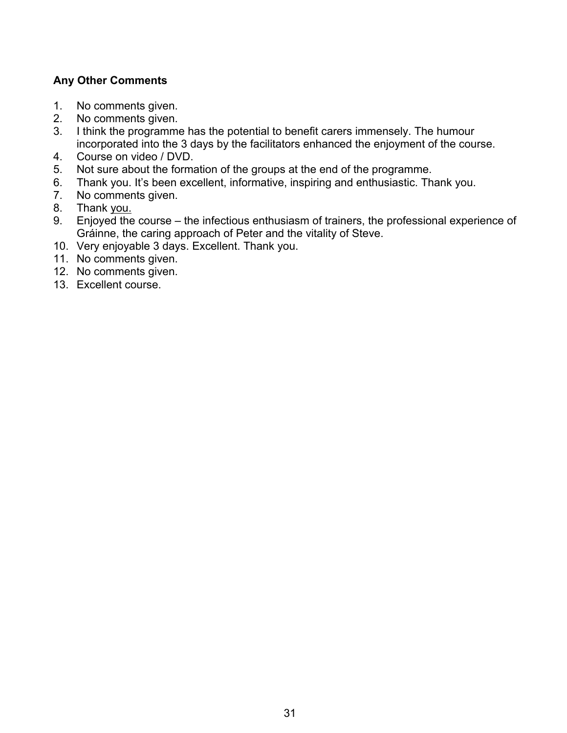### **Any Other Comments**

- 1. No comments given.
- 2. No comments given.
- 3. I think the programme has the potential to benefit carers immensely. The humour incorporated into the 3 days by the facilitators enhanced the enjoyment of the course.
- 4. Course on video / DVD.
- 5. Not sure about the formation of the groups at the end of the programme.
- 6. Thank you. It's been excellent, informative, inspiring and enthusiastic. Thank you.
- 7. No comments given.
- 8. Thank you.
- 9. Enjoyed the course the infectious enthusiasm of trainers, the professional experience of Gráinne, the caring approach of Peter and the vitality of Steve.
- 10. Very enjoyable 3 days. Excellent. Thank you.
- 11. No comments given.
- 12. No comments given.
- 13. Excellent course.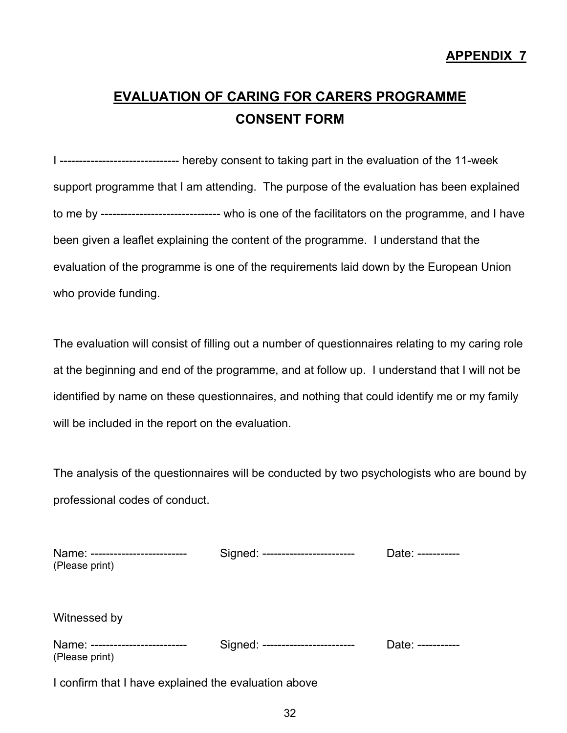# **EVALUATION OF CARING FOR CARERS PROGRAMME CONSENT FORM**

I ------------------------------- hereby consent to taking part in the evaluation of the 11-week support programme that I am attending. The purpose of the evaluation has been explained to me by ------------------------------- who is one of the facilitators on the programme, and I have been given a leaflet explaining the content of the programme. I understand that the evaluation of the programme is one of the requirements laid down by the European Union who provide funding.

The evaluation will consist of filling out a number of questionnaires relating to my caring role at the beginning and end of the programme, and at follow up. I understand that I will not be identified by name on these questionnaires, and nothing that could identify me or my family will be included in the report on the evaluation.

The analysis of the questionnaires will be conducted by two psychologists who are bound by professional codes of conduct.

| Name: -------------------------<br>(Please print)  | Signed: ------------------------ | Date: ----------- |
|----------------------------------------------------|----------------------------------|-------------------|
| Witnessed by                                       |                                  |                   |
| Name: --------------------------<br>(Please print) | Signed: ------------------------ | Date: ----------- |

I confirm that I have explained the evaluation above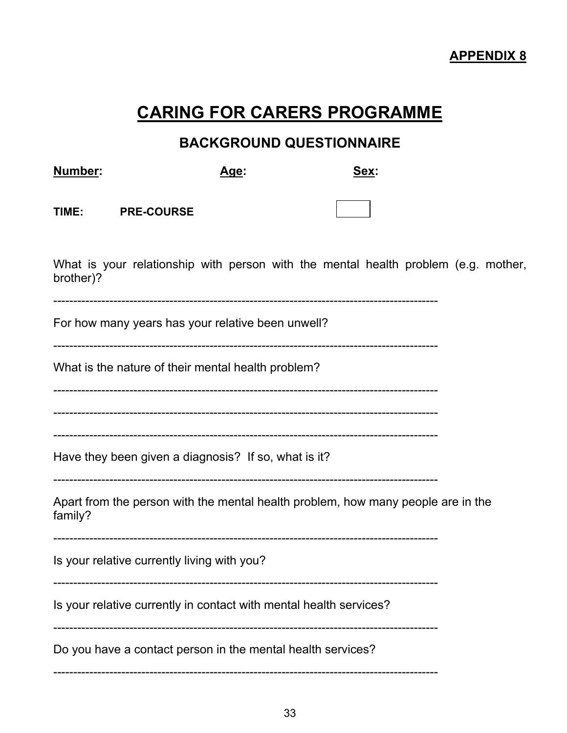# **CARING FOR CARERS PROGRAMME**

# **BACKGROUND QUESTIONNAIRE**

| Number:                                                                                     | Age:                                                                               | Sex: |  |  |  |  |
|---------------------------------------------------------------------------------------------|------------------------------------------------------------------------------------|------|--|--|--|--|
| TIME:                                                                                       | <b>PRE-COURSE</b>                                                                  |      |  |  |  |  |
| brother)?                                                                                   | What is your relationship with person with the mental health problem (e.g. mother, |      |  |  |  |  |
|                                                                                             | For how many years has your relative been unwell?                                  |      |  |  |  |  |
|                                                                                             | What is the nature of their mental health problem?                                 |      |  |  |  |  |
|                                                                                             |                                                                                    |      |  |  |  |  |
|                                                                                             | Have they been given a diagnosis? If so, what is it?                               |      |  |  |  |  |
| Apart from the person with the mental health problem, how many people are in the<br>family? |                                                                                    |      |  |  |  |  |
|                                                                                             | Is your relative currently living with you?                                        |      |  |  |  |  |
|                                                                                             | Is your relative currently in contact with mental health services?                 |      |  |  |  |  |
|                                                                                             | Do you have a contact person in the mental health services?                        |      |  |  |  |  |
|                                                                                             |                                                                                    |      |  |  |  |  |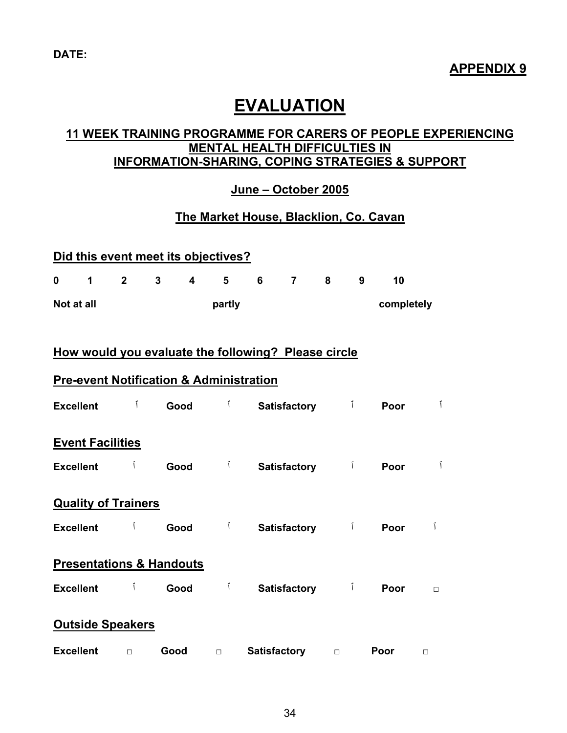# **EVALUATION**

## **11 WEEK TRAINING PROGRAMME FOR CARERS OF PEOPLE EXPERIENCING MENTAL HEALTH DIFFICULTIES IN INFORMATION-SHARING, COPING STRATEGIES & SUPPORT**

# **June – October 2005**

# **The Market House, Blacklion, Co. Cavan**

| Did this event meet its objectives?                 |                |      |                         |                |                     |                     |                         |                |            |        |
|-----------------------------------------------------|----------------|------|-------------------------|----------------|---------------------|---------------------|-------------------------|----------------|------------|--------|
| 0<br>$\mathbf{1}$                                   | $\overline{2}$ | 3    | $\overline{\mathbf{4}}$ | 5              | 6                   | $\overline{7}$      | $\overline{\mathbf{8}}$ | 9              | 10         |        |
| Not at all                                          |                |      |                         | partly         |                     |                     |                         |                | completely |        |
|                                                     |                |      |                         |                |                     |                     |                         |                |            |        |
| How would you evaluate the following? Please circle |                |      |                         |                |                     |                     |                         |                |            |        |
| <b>Pre-event Notification &amp; Administration</b>  |                |      |                         |                |                     |                     |                         |                |            |        |
| <b>Excellent</b>                                    | Ĩ              | Good |                         | $\mathfrak{f}$ |                     | <b>Satisfactory</b> |                         | $\mathfrak{f}$ | Poor       | Ĩ      |
| <b>Event Facilities</b>                             |                |      |                         |                |                     |                     |                         |                |            |        |
| <b>Excellent</b>                                    | Ĩ              | Good |                         | $\mathcal{I}$  |                     | <b>Satisfactory</b> |                         | $\int$         | Poor       | Ĩ      |
| <b>Quality of Trainers</b>                          |                |      |                         |                |                     |                     |                         |                |            |        |
| <b>Excellent</b>                                    | Ĩ              | Good |                         | $\mathcal{I}$  |                     | <b>Satisfactory</b> |                         | $\int$         | Poor       | Ĩ      |
| <b>Presentations &amp; Handouts</b>                 |                |      |                         |                |                     |                     |                         |                |            |        |
| <b>Excellent</b>                                    | Ĩ              | Good |                         | $\mathcal{I}$  |                     | <b>Satisfactory</b> |                         | $\int$         | Poor       | $\Box$ |
| <b>Outside Speakers</b>                             |                |      |                         |                |                     |                     |                         |                |            |        |
| <b>Excellent</b>                                    | $\Box$         | Good |                         | $\Box$         | <b>Satisfactory</b> |                     | $\Box$                  |                | Poor       | $\Box$ |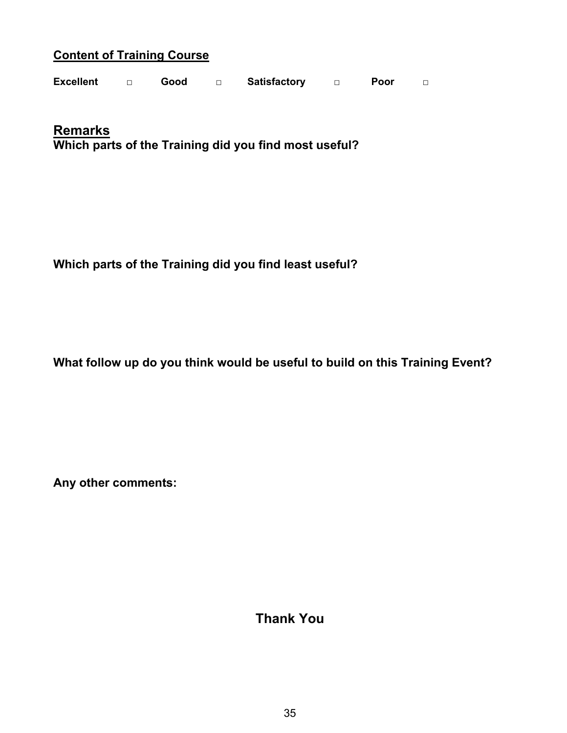# **Content of Training Course**

| <b>Excellent</b> |  | Good |  | <b>Satisfactory</b> |  | Poor |  |
|------------------|--|------|--|---------------------|--|------|--|
|------------------|--|------|--|---------------------|--|------|--|

**Remarks Which parts of the Training did you find most useful?** 

**Which parts of the Training did you find least useful?** 

**What follow up do you think would be useful to build on this Training Event?** 

**Any other comments:** 

**Thank You**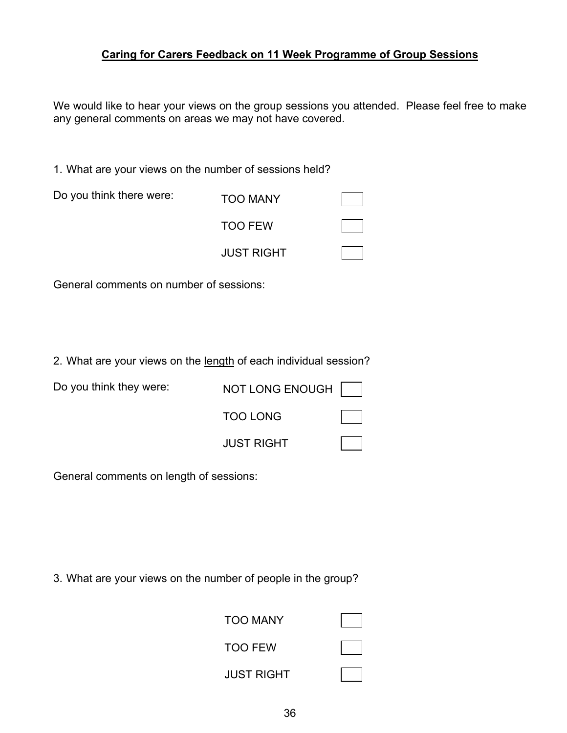### **Caring for Carers Feedback on 11 Week Programme of Group Sessions**

We would like to hear your views on the group sessions you attended. Please feel free to make any general comments on areas we may not have covered.

1. What are your views on the number of sessions held?

| Do you think there were: | <b>TOO MANY</b>   |  |
|--------------------------|-------------------|--|
|                          | <b>TOO FEW</b>    |  |
|                          | <b>JUST RIGHT</b> |  |

General comments on number of sessions:

2. What are your views on the length of each individual session?

| Do you think they were: | NOT LONG ENOUGH   |  |
|-------------------------|-------------------|--|
|                         | <b>TOO LONG</b>   |  |
|                         | <b>JUST RIGHT</b> |  |

General comments on length of sessions:

3. What are your views on the number of people in the group?

| <b>TOO MANY</b>   |  |
|-------------------|--|
| <b>TOO FEW</b>    |  |
| <b>JUST RIGHT</b> |  |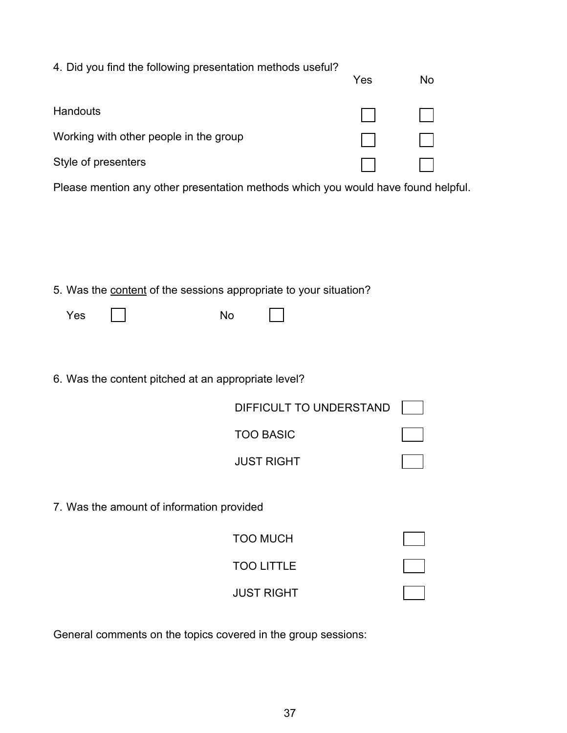| 4. Did you find the following presentation methods useful?                        |                         | Yes | No |
|-----------------------------------------------------------------------------------|-------------------------|-----|----|
| Handouts                                                                          |                         |     |    |
| Working with other people in the group                                            |                         |     |    |
| Style of presenters                                                               |                         |     |    |
| Please mention any other presentation methods which you would have found helpful. |                         |     |    |
|                                                                                   |                         |     |    |
|                                                                                   |                         |     |    |
|                                                                                   |                         |     |    |
| 5. Was the content of the sessions appropriate to your situation?                 |                         |     |    |
| Yes<br>No                                                                         |                         |     |    |
|                                                                                   |                         |     |    |
| 6. Was the content pitched at an appropriate level?                               |                         |     |    |
|                                                                                   | DIFFICULT TO UNDERSTAND |     |    |
|                                                                                   | <b>TOO BASIC</b>        |     |    |
|                                                                                   | <b>JUST RIGHT</b>       |     |    |
|                                                                                   |                         |     |    |
| 7. Was the amount of information provided                                         |                         |     |    |
|                                                                                   | <b>TOO MUCH</b>         |     |    |
|                                                                                   | <b>TOO LITTLE</b>       |     |    |
|                                                                                   | <b>JUST RIGHT</b>       |     |    |
|                                                                                   |                         |     |    |

General comments on the topics covered in the group sessions: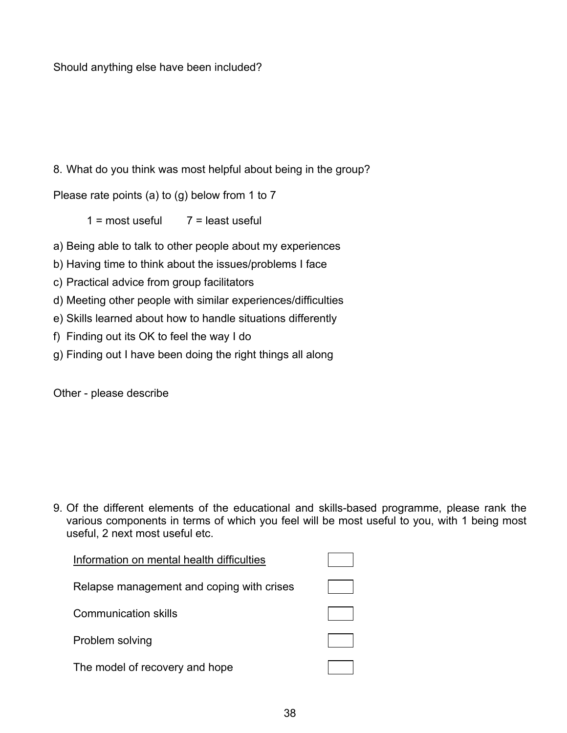Should anything else have been included?

# 8. What do you think was most helpful about being in the group?

Please rate points (a) to (g) below from 1 to 7

 $1 =$  most useful  $7 =$  least useful

a) Being able to talk to other people about my experiences

b) Having time to think about the issues/problems I face

c) Practical advice from group facilitators

d) Meeting other people with similar experiences/difficulties

e) Skills learned about how to handle situations differently

f) Finding out its OK to feel the way I do

g) Finding out I have been doing the right things all along

Other - please describe

9. Of the different elements of the educational and skills-based programme, please rank the various components in terms of which you feel will be most useful to you, with 1 being most useful, 2 next most useful etc.

| Information on mental health difficulties |  |
|-------------------------------------------|--|
| Relapse management and coping with crises |  |
| Communication skills                      |  |
| Problem solving                           |  |
| The model of recovery and hope            |  |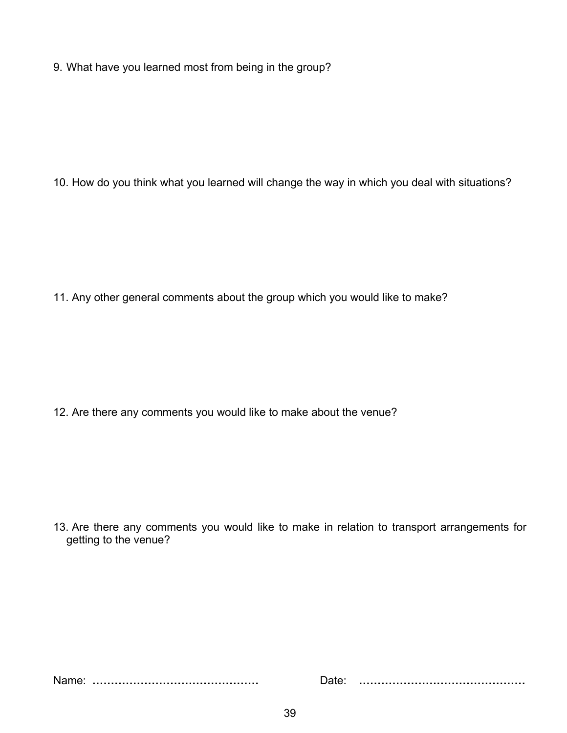9. What have you learned most from being in the group?

10. How do you think what you learned will change the way in which you deal with situations?

11. Any other general comments about the group which you would like to make?

12. Are there any comments you would like to make about the venue?

13. Are there any comments you would like to make in relation to transport arrangements for getting to the venue?

Name: **………………………………………** Date: **………………………………………**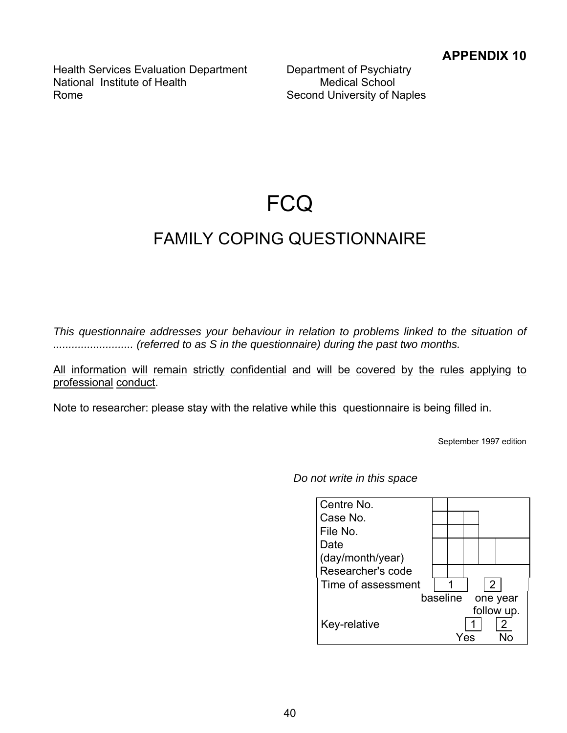Health Services Evaluation Department Department of Psychiatry National Institute of Health Medical School Rome **Second University of Naples** 

# **FCQ**

# FAMILY COPING QUESTIONNAIRE

*This questionnaire addresses your behaviour in relation to problems linked to the situation of .......................... (referred to as S in the questionnaire) during the past two months.* 

All information will remain strictly confidential and will be covered by the rules applying to professional conduct.

Note to researcher: please stay with the relative while this questionnaire is being filled in.

September 1997 edition

*Do not write in this space* 

| Centre No.         |          |                |            |  |
|--------------------|----------|----------------|------------|--|
| Case No.           |          |                |            |  |
| File No.           |          |                |            |  |
| Date               |          |                |            |  |
| (day/month/year)   |          |                |            |  |
| Researcher's code  |          |                |            |  |
| Time of assessment |          | $\overline{2}$ |            |  |
|                    | baseline |                | one year   |  |
|                    |          |                | follow up. |  |
| Key-relative       |          |                | 2          |  |
|                    |          |                |            |  |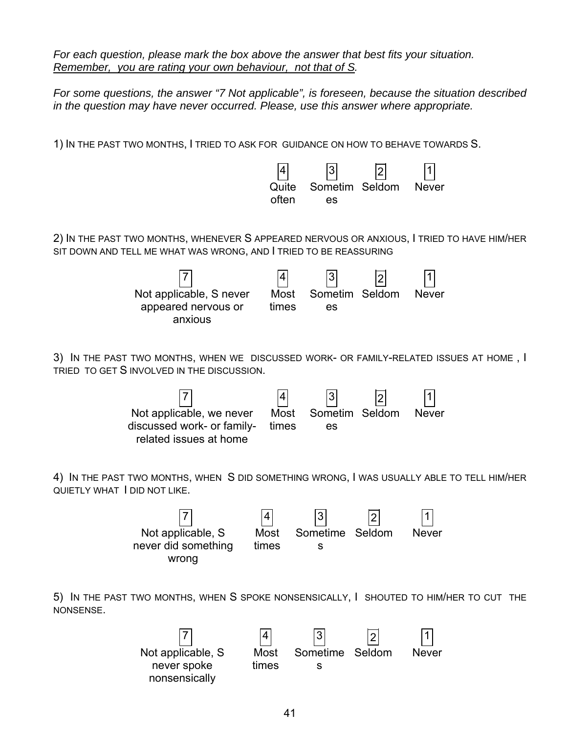*For each question, please mark the box above the answer that best fits your situation. Remember, you are rating your own behaviour, not that of S.* 

*For some questions, the answer "7 Not applicable", is foreseen, because the situation described in the question may have never occurred. Please, use this answer where appropriate.*

1) IN THE PAST TWO MONTHS, I TRIED TO ASK FOR GUIDANCE ON HOW TO BEHAVE TOWARDS S.

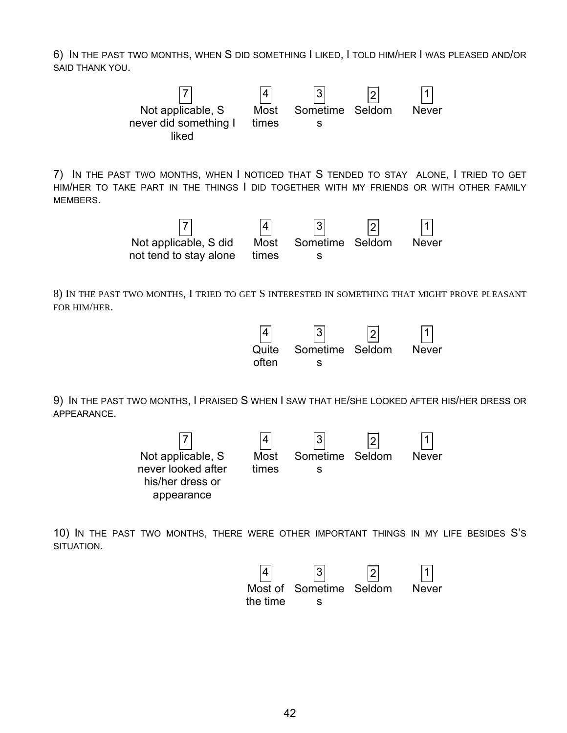6) IN THE PAST TWO MONTHS, WHEN S DID SOMETHING I LIKED, I TOLD HIM/HER I WAS PLEASED AND/OR SAID THANK YOU.



9) IN THE PAST TWO MONTHS, I PRAISED S WHEN I SAW THAT HE/SHE LOOKED AFTER HIS/HER DRESS OR APPEARANCE.



10) IN THE PAST TWO MONTHS, THERE WERE OTHER IMPORTANT THINGS IN MY LIFE BESIDES S'S SITUATION.

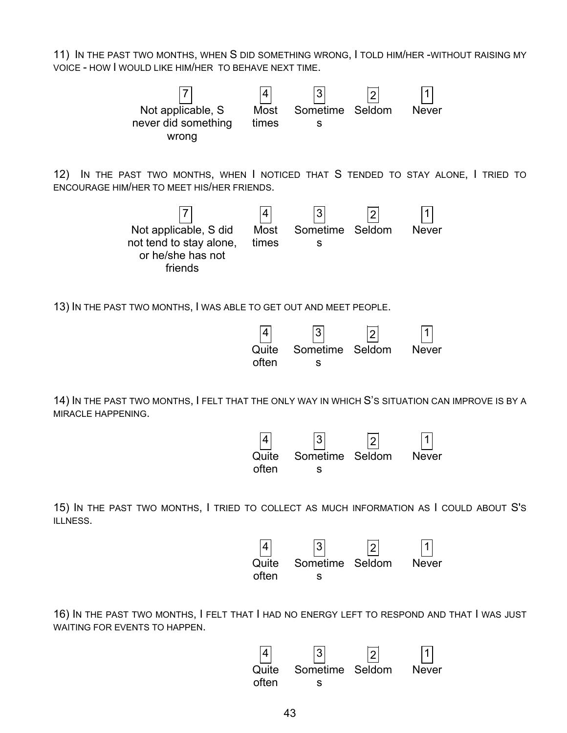11) IN THE PAST TWO MONTHS, WHEN S DID SOMETHING WRONG, I TOLD HIM/HER -WITHOUT RAISING MY VOICE - HOW I WOULD LIKE HIM/HER TO BEHAVE NEXT TIME.



16) IN THE PAST TWO MONTHS, I FELT THAT I HAD NO ENERGY LEFT TO RESPOND AND THAT I WAS JUST WAITING FOR EVENTS TO HAPPEN.

s

often

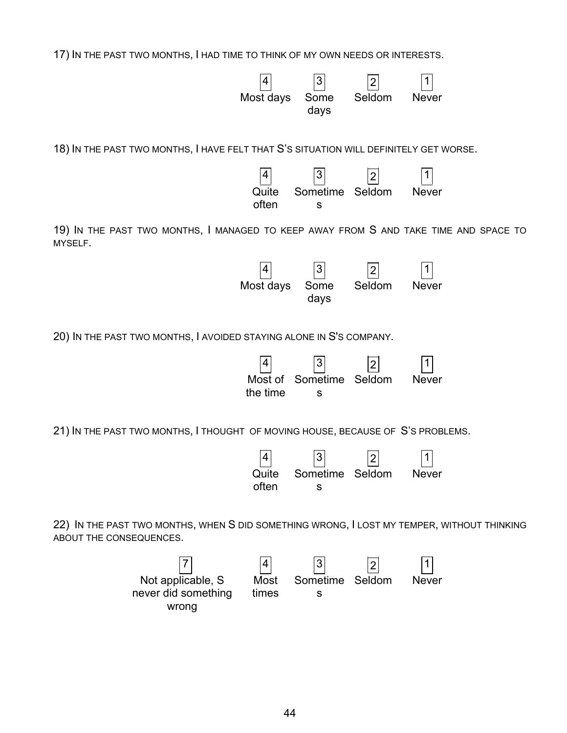17) IN THE PAST TWO MONTHS, I HAD TIME TO THINK OF MY OWN NEEDS OR INTERESTS.

|                         |                                                                                            | 4<br>Most days           | 3<br>Some<br>days          | $\overline{2}$<br>Seldom | <b>Never</b> |  |
|-------------------------|--------------------------------------------------------------------------------------------|--------------------------|----------------------------|--------------------------|--------------|--|
|                         | 18) IN THE PAST TWO MONTHS, I HAVE FELT THAT S'S SITUATION WILL DEFINITELY GET WORSE.      |                          |                            |                          |              |  |
|                         |                                                                                            | 4<br>Quite<br>often      | Sometime<br>s              | $\overline{2}$<br>Seldom | <b>Never</b> |  |
| MYSELF.                 | 19) IN THE PAST TWO MONTHS, I MANAGED TO KEEP AWAY FROM S AND TAKE TIME AND SPACE TO       |                          |                            |                          |              |  |
|                         |                                                                                            | 4<br>Most days           | $\sqrt{3}$<br>Some<br>days | $\overline{2}$<br>Seldom | <b>Never</b> |  |
|                         | 20) IN THE PAST TWO MONTHS, I AVOIDED STAYING ALONE IN S'S COMPANY.                        |                          |                            |                          |              |  |
|                         |                                                                                            | 4<br>Most of<br>the time | Sometime<br>s              | Seldom                   | <b>Never</b> |  |
|                         | 21) IN THE PAST TWO MONTHS, I THOUGHT OF MOVING HOUSE, BECAUSE OF S'S PROBLEMS.            |                          |                            |                          |              |  |
|                         |                                                                                            | 4<br>Quite<br>often      | 3<br>Sometime<br>S         | $\overline{2}$<br>Seldom | <b>Never</b> |  |
| ABOUT THE CONSEQUENCES. | 22) IN THE PAST TWO MONTHS, WHEN S DID SOMETHING WRONG, I LOST MY TEMPER, WITHOUT THINKING |                          |                            |                          |              |  |
|                         | Not applicable, S                                                                          | Most                     | 3<br>Sometime Seldom       | $\overline{2}$           | <b>Never</b> |  |

44

times

Sometime Seldom Never

s

Not applicable, S never did something wrong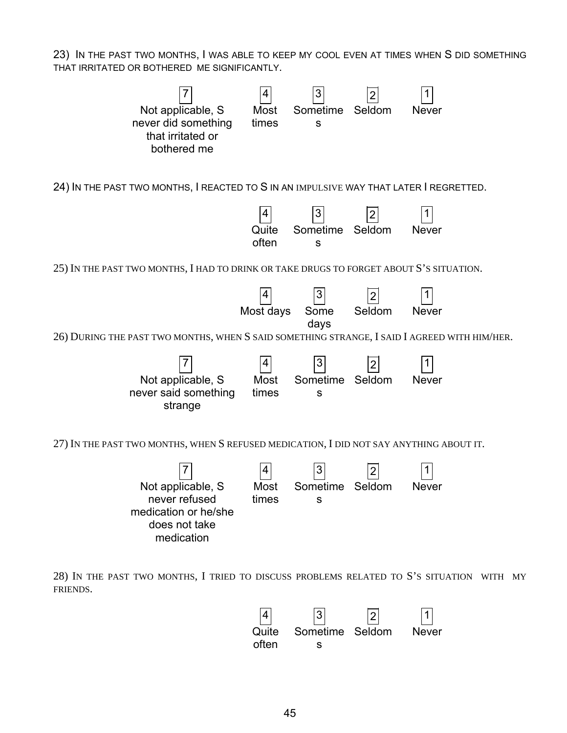23) IN THE PAST TWO MONTHS, I WAS ABLE TO KEEP MY COOL EVEN AT TIMES WHEN S DID SOMETHING THAT IRRITATED OR BOTHERED ME SIGNIFICANTLY.



28) IN THE PAST TWO MONTHS, I TRIED TO DISCUSS PROBLEMS RELATED TO S'S SITUATION WITH MY FRIENDS.

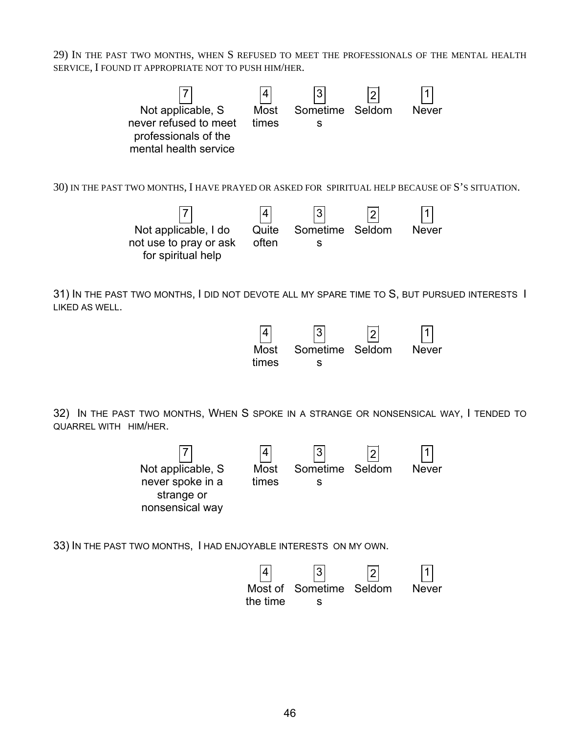29) IN THE PAST TWO MONTHS, WHEN S REFUSED TO MEET THE PROFESSIONALS OF THE MENTAL HEALTH SERVICE, I FOUND IT APPROPRIATE NOT TO PUSH HIM/HER.



strange or nonsensical way times s

33) IN THE PAST TWO MONTHS, I HAD ENJOYABLE INTERESTS ON MY OWN.

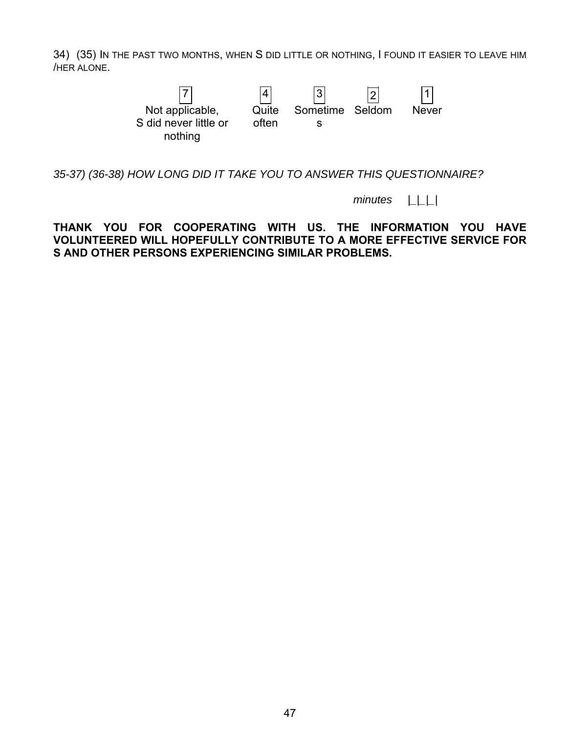34) (35) IN THE PAST TWO MONTHS, WHEN S DID LITTLE OR NOTHING, I FOUND IT EASIER TO LEAVE HIM /HER ALONE.



*35-37) (36-38) HOW LONG DID IT TAKE YOU TO ANSWER THIS QUESTIONNAIRE?* 

 *minutes |\_|\_|\_|* 

**THANK YOU FOR COOPERATING WITH US. THE INFORMATION YOU HAVE VOLUNTEERED WILL HOPEFULLY CONTRIBUTE TO A MORE EFFECTIVE SERVICE FOR S AND OTHER PERSONS EXPERIENCING SIMILAR PROBLEMS.**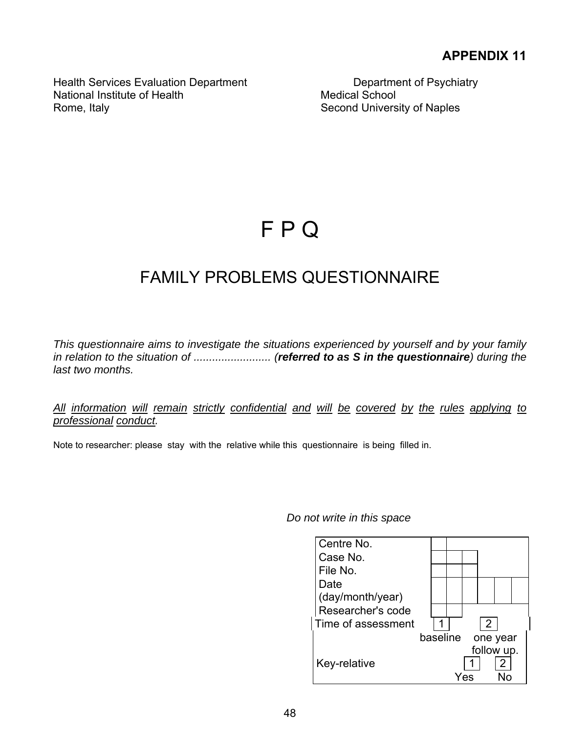Health Services Evaluation Department Department Department of Psychiatry National Institute of Health Medical School Rome, Italy **Second University of Naples** 

# F P Q

# FAMILY PROBLEMS QUESTIONNAIRE

*This questionnaire aims to investigate the situations experienced by yourself and by your family in relation to the situation of ......................... (referred to as S in the questionnaire) during the last two months.* 

*All information will remain strictly confidential and will be covered by the rules applying to professional conduct.* 

Note to researcher: please stay with the relative while this questionnaire is being filled in.

### *Do not write in this space*

| Centre No.         |                      |
|--------------------|----------------------|
| Case No.           |                      |
| File No.           |                      |
| Date               |                      |
| (day/month/year)   |                      |
| Researcher's code  |                      |
| Time of assessment | $\mathcal{P}$        |
|                    | baseline<br>one year |
|                    | follow up.           |
| Key-relative       | 2                    |
|                    |                      |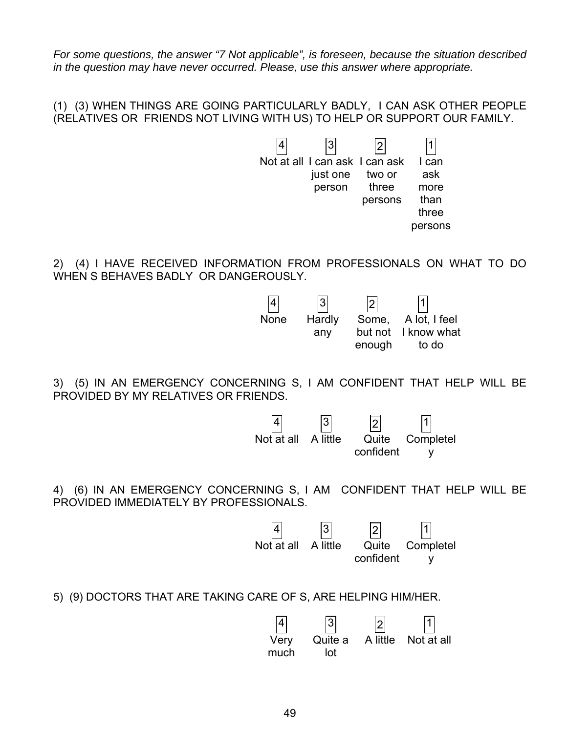*For some questions, the answer "7 Not applicable", is foreseen, because the situation described in the question may have never occurred. Please, use this answer where appropriate.*

(1) (3) WHEN THINGS ARE GOING PARTICULARLY BADLY, I CAN ASK OTHER PEOPLE (RELATIVES OR FRIENDS NOT LIVING WITH US) TO HELP OR SUPPORT OUR FAMILY.



2) (4) I HAVE RECEIVED INFORMATION FROM PROFESSIONALS ON WHAT TO DO WHEN S BEHAVES BADLY OR DANGEROUSLY.



3) (5) IN AN EMERGENCY CONCERNING S, I AM CONFIDENT THAT HELP WILL BE PROVIDED BY MY RELATIVES OR FRIENDS.



4) (6) IN AN EMERGENCY CONCERNING S, I AM CONFIDENT THAT HELP WILL BE PROVIDED IMMEDIATELY BY PROFESSIONALS.



5) (9) DOCTORS THAT ARE TAKING CARE OF S, ARE HELPING HIM/HER.

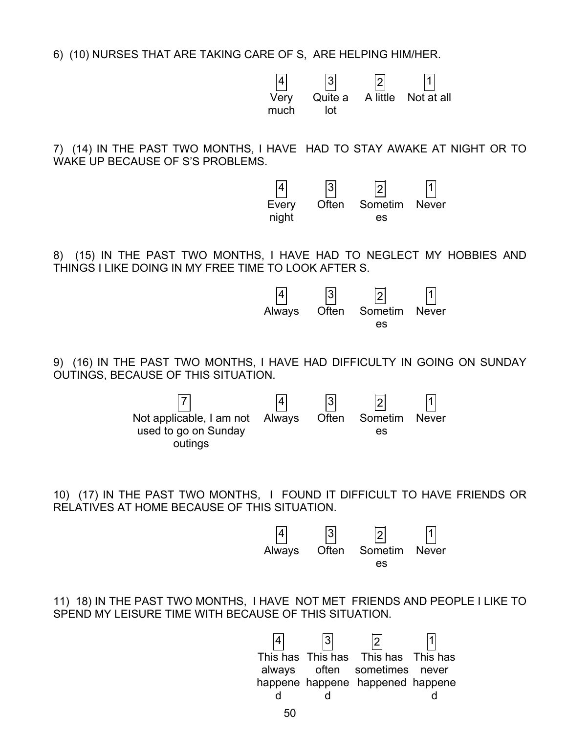6) (10) NURSES THAT ARE TAKING CARE OF S, ARE HELPING HIM/HER.

|                                                                                                                                      | $\sqrt{3}$<br>Very<br>Quite a<br>much<br>lot               | A little                        | Not at all             |
|--------------------------------------------------------------------------------------------------------------------------------------|------------------------------------------------------------|---------------------------------|------------------------|
| 7) (14) IN THE PAST TWO MONTHS, I HAVE HAD TO STAY AWAKE AT NIGHT OR TO<br>WAKE UP BECAUSE OF S'S PROBLEMS.                          |                                                            |                                 |                        |
|                                                                                                                                      | 3 <br>Often<br>Every<br>night                              | $\overline{2}$<br>Sometim<br>es | <b>Never</b>           |
| (15) IN THE PAST TWO MONTHS, I HAVE HAD TO NEGLECT MY HOBBIES AND<br>8) -<br>THINGS I LIKE DOING IN MY FREE TIME TO LOOK AFTER S.    |                                                            |                                 |                        |
|                                                                                                                                      | $\overline{3}$<br>Often<br>Always                          | Sometim<br>es                   | <b>Never</b>           |
| 9) (16) IN THE PAST TWO MONTHS, I HAVE HAD DIFFICULTY IN GOING ON SUNDAY<br>OUTINGS, BECAUSE OF THIS SITUATION.                      |                                                            |                                 |                        |
| Not applicable, I am not<br>used to go on Sunday<br>outings                                                                          | Often<br>Always                                            | Sometim<br>es                   | <b>Never</b>           |
| 10) (17) IN THE PAST TWO MONTHS, I FOUND IT DIFFICULT TO HAVE FRIENDS OR<br>RELATIVES AT HOME BECAUSE OF THIS SITUATION.             |                                                            |                                 |                        |
|                                                                                                                                      | $\overline{3}$<br>Often<br>Always                          | Sometim<br>es                   | <b>Never</b>           |
| 11) 18) IN THE PAST TWO MONTHS, I HAVE NOT MET FRIENDS AND PEOPLE I LIKE TO<br>SPEND MY LEISURE TIME WITH BECAUSE OF THIS SITUATION. |                                                            |                                 |                        |
| This has<br>always<br>d                                                                                                              | This has<br>often<br>happene happene happened happene<br>d | This has<br>sometimes           | This has<br>never<br>d |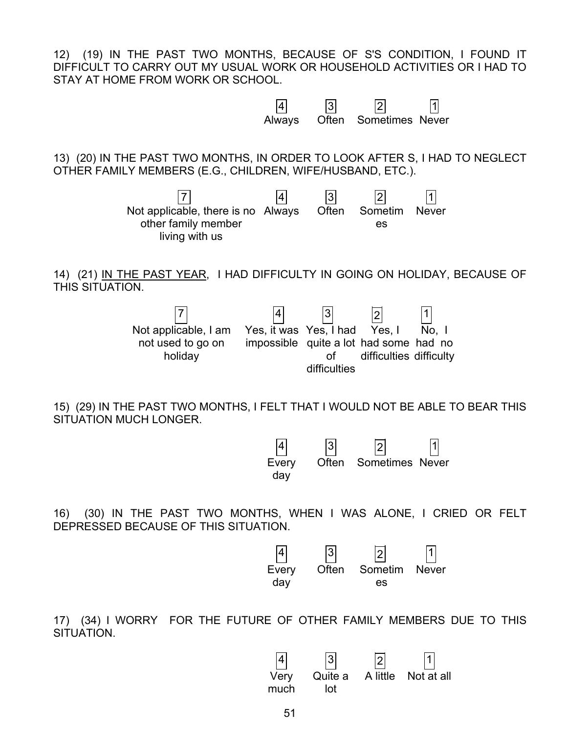12) (19) IN THE PAST TWO MONTHS, BECAUSE OF S'S CONDITION, I FOUND IT DIFFICULT TO CARRY OUT MY USUAL WORK OR HOUSEHOLD ACTIVITIES OR I HAD TO STAY AT HOME FROM WORK OR SCHOOL.



16) (30) IN THE PAST TWO MONTHS, WHEN I WAS ALONE, I CRIED OR FELT DEPRESSED BECAUSE OF THIS SITUATION.

day



17) (34) I WORRY FOR THE FUTURE OF OTHER FAMILY MEMBERS DUE TO THIS SITUATION.

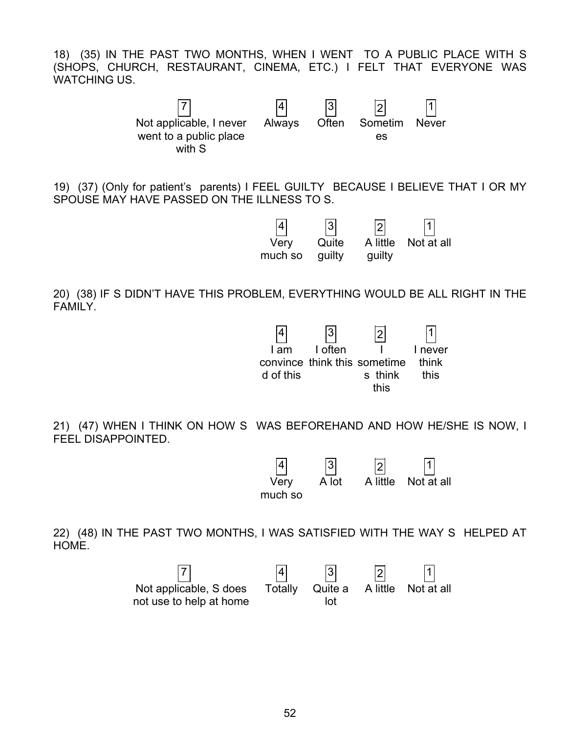18) (35) IN THE PAST TWO MONTHS, WHEN I WENT TO A PUBLIC PLACE WITH S (SHOPS, CHURCH, RESTAURANT, CINEMA, ETC.) I FELT THAT EVERYONE WAS WATCHING US.



19) (37) (Only for patient's parents) I FEEL GUILTY BECAUSE I BELIEVE THAT I OR MY SPOUSE MAY HAVE PASSED ON THE ILLNESS TO S.



20) (38) IF S DIDN'T HAVE THIS PROBLEM, EVERYTHING WOULD BE ALL RIGHT IN THE FAMILY.



21) (47) WHEN I THINK ON HOW S WAS BEFOREHAND AND HOW HE/SHE IS NOW, I FEEL DISAPPOINTED.



22) (48) IN THE PAST TWO MONTHS, I WAS SATISFIED WITH THE WAY S HELPED AT HOME.

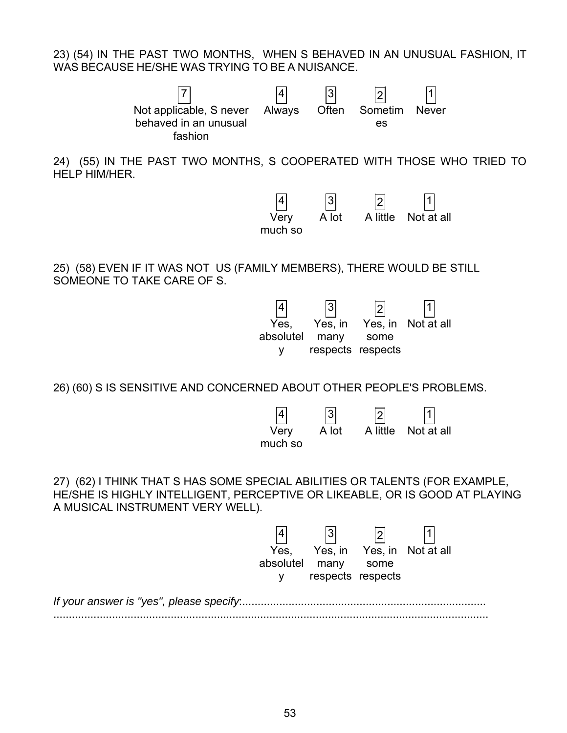23) (54) IN THE PAST TWO MONTHS, WHEN S BEHAVED IN AN UNUSUAL FASHION, IT WAS BECAUSE HE/SHE WAS TRYING TO BE A NUISANCE.



24) (55) IN THE PAST TWO MONTHS, S COOPERATED WITH THOSE WHO TRIED TO HELP HIM/HER.



25) (58) EVEN IF IT WAS NOT US (FAMILY MEMBERS), THERE WOULD BE STILL SOMEONE TO TAKE CARE OF S.

|           | 3                 | 2    |                    |
|-----------|-------------------|------|--------------------|
| Yes.      | Yes, in           |      | Yes, in Not at all |
| absolutel | many              | some |                    |
| v         | respects respects |      |                    |

26) (60) S IS SENSITIVE AND CONCERNED ABOUT OTHER PEOPLE'S PROBLEMS.

| 4       | 3     | 2        |        |
|---------|-------|----------|--------|
| Very    | A lot | A little | Not at |
| much so |       |          |        |

A little Not at all

27) (62) I THINK THAT S HAS SOME SPECIAL ABILITIES OR TALENTS (FOR EXAMPLE, HE/SHE IS HIGHLY INTELLIGENT, PERCEPTIVE OR LIKEABLE, OR IS GOOD AT PLAYING A MUSICAL INSTRUMENT VERY WELL).

| Yes.           |                   |      | Yes, in Yes, in Not at all |
|----------------|-------------------|------|----------------------------|
| absolutel many |                   | some |                            |
|                | respects respects |      |                            |
|                |                   |      |                            |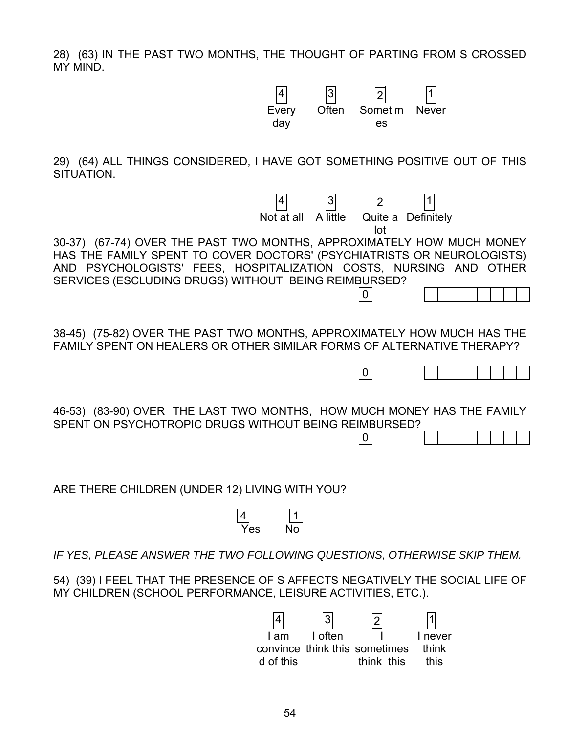28) (63) IN THE PAST TWO MONTHS, THE THOUGHT OF PARTING FROM S CROSSED MY MIND.

> Every day

 $4$   $3$   $2$   $1$ 

Often Sometim

es

Never

29) (64) ALL THINGS CONSIDERED, I HAVE GOT SOMETHING POSITIVE OUT OF THIS SITUATION.

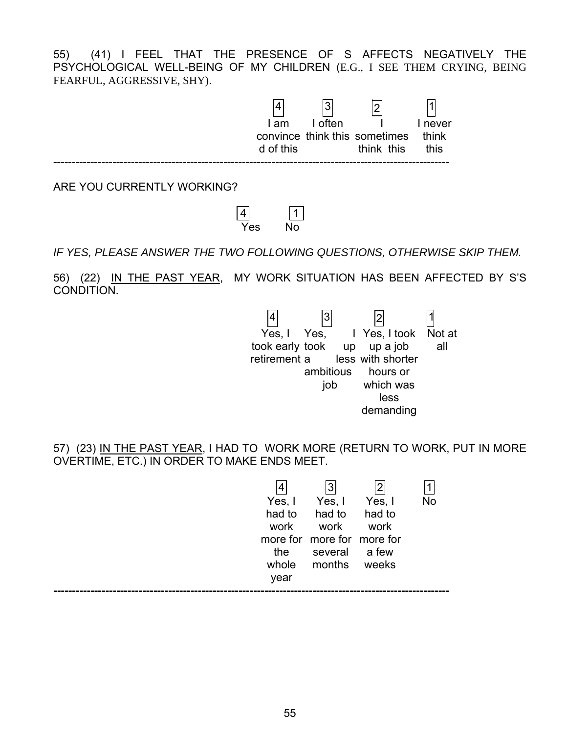55) (41) I FEEL THAT THE PRESENCE OF S AFFECTS NEGATIVELY THE PSYCHOLOGICAL WELL-BEING OF MY CHILDREN (E.G., I SEE THEM CRYING, BEING FEARFUL, AGGRESSIVE, SHY).

|                            | l am<br>d of this | 3<br>I often | $\bigcap$<br>convince think this sometimes<br>think this | never<br>think<br>this |  |
|----------------------------|-------------------|--------------|----------------------------------------------------------|------------------------|--|
| ARE YOU CURRENTLY WORKING? |                   |              |                                                          |                        |  |



*IF YES, PLEASE ANSWER THE TWO FOLLOWING QUESTIONS, OTHERWISE SKIP THEM.*

56) (22) IN THE PAST YEAR, MY WORK SITUATION HAS BEEN AFFECTED BY S'S CONDITION.



57) (23) IN THE PAST YEAR, I HAD TO WORK MORE (RETURN TO WORK, PUT IN MORE OVERTIME, ETC.) IN ORDER TO MAKE ENDS MEET.

| Yes, I<br>had to<br>work<br>the<br>whole | Yes, I<br>had to<br>work<br>more for more for more for<br>several a few<br>months | Yes, I<br>had to<br>work<br>weeks | <b>No</b> |
|------------------------------------------|-----------------------------------------------------------------------------------|-----------------------------------|-----------|
| year                                     |                                                                                   |                                   |           |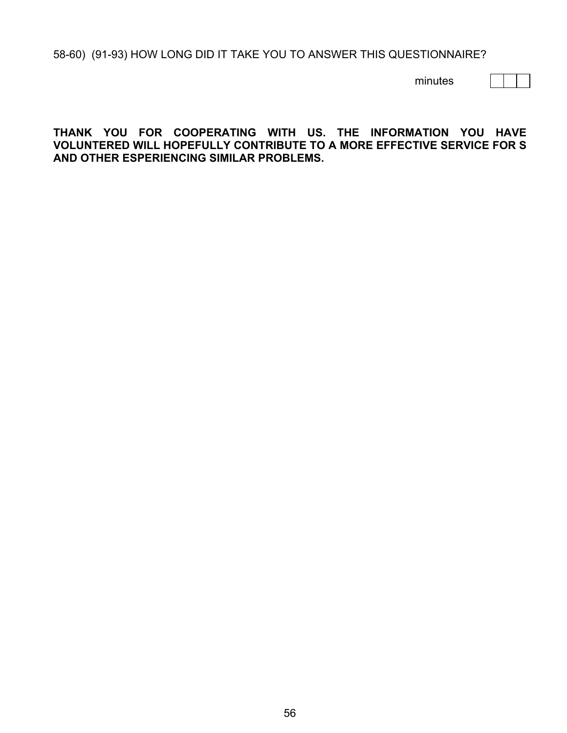58-60) (91-93) HOW LONG DID IT TAKE YOU TO ANSWER THIS QUESTIONNAIRE?

minutes

### **THANK YOU FOR COOPERATING WITH US. THE INFORMATION YOU HAVE VOLUNTERED WILL HOPEFULLY CONTRIBUTE TO A MORE EFFECTIVE SERVICE FOR S AND OTHER ESPERIENCING SIMILAR PROBLEMS.**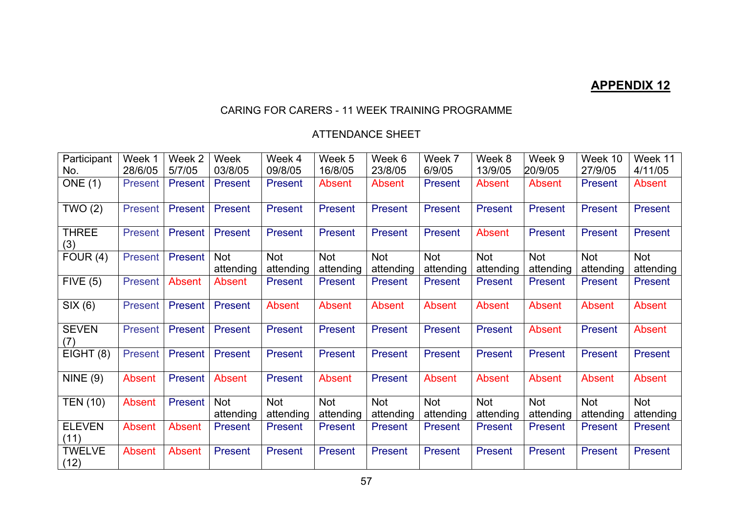# **APPENDIX 12**

### CARING FOR CARERS - 11 WEEK TRAINING PROGRAMME

### ATTENDANCE SHEET

| Participant           | Week 1        | Week 2  | Week                    | Week 4                  | Week 5                  | Week 6                  | Week 7                  | Week 8                  | Week 9                  | Week 10                 | Week 11          |
|-----------------------|---------------|---------|-------------------------|-------------------------|-------------------------|-------------------------|-------------------------|-------------------------|-------------------------|-------------------------|------------------|
| No.                   | 28/6/05       | 5/7/05  | 03/8/05                 | 09/8/05                 | 16/8/05                 | 23/8/05                 | 6/9/05                  | 13/9/05                 | 20/9/05                 | 27/9/05                 | 4/11/05          |
| <b>ONE</b> (1)        | Present I     | Present | <b>Present</b>          | <b>Present</b>          | Absent                  | <b>Absent</b>           | <b>Present</b>          | <b>Absent</b>           | Absent                  | <b>Present</b>          | <b>Absent</b>    |
| TWO(2)                | Present       | Present | <b>Present</b>          | <b>Present</b>          | <b>Present</b>          | <b>Present</b>          | Present                 | <b>Present</b>          | <b>Present</b>          | <b>Present</b>          | Present          |
| <b>THREE</b><br>(3)   | Present       | Present | Present                 | <b>Present</b>          | <b>Present</b>          | <b>Present</b>          | Present                 | Absent                  | Present                 | <b>Present</b>          | Present          |
| FOUR $(4)$            | Present       | Present | Not<br>attending        | <b>Not</b><br>attending | <b>Not</b><br>attending | <b>Not</b><br>attending | <b>Not</b><br>attending | <b>Not</b><br>attending | <b>Not</b><br>attending | <b>Not</b><br>attending | Not<br>attending |
| FIVE (5)              | Present       | Absent  | <b>Absent</b>           | <b>Present</b>          | Present                 | <b>Present</b>          | <b>Present</b>          | <b>Present</b>          | Present                 | <b>Present</b>          | Present          |
| SIX (6)               | Present       | Present | <b>Present</b>          | Absent                  | Absent                  | Absent                  | <b>Absent</b>           | Absent                  | Absent                  | Absent                  | Absent           |
| <b>SEVEN</b><br>(7)   | Present       | Present | Present                 | Present                 | <b>Present</b>          | <b>Present</b>          | Present                 | Present                 | Absent                  | <b>Present</b>          | Absent           |
| EIGHT (8)             | Present       | Present | Present                 | <b>Present</b>          | <b>Present</b>          | <b>Present</b>          | <b>Present</b>          | <b>Present</b>          | <b>Present</b>          | <b>Present</b>          | Present          |
| NINE(9)               | Absent        | Present | Absent                  | <b>Present</b>          | Absent                  | Present                 | <b>Absent</b>           | Absent                  | <b>Absent</b>           | Absent                  | Absent           |
| <b>TEN (10)</b>       | <b>Absent</b> | Present | <b>Not</b><br>attending | <b>Not</b><br>attending | <b>Not</b><br>attending | Not<br>attending        | Not<br>attending        | <b>Not</b><br>attending | <b>Not</b><br>attending | <b>Not</b><br>attending | Not<br>attending |
| <b>ELEVEN</b><br>(11) | Absent        | Absent  | Present                 | Present                 | <b>Present</b>          | <b>Present</b>          | <b>Present</b>          | <b>Present</b>          | Present                 | Present                 | Present          |
| <b>TWELVE</b><br>(12) | <b>Absent</b> | Absent  | <b>Present</b>          | <b>Present</b>          | <b>Present</b>          | <b>Present</b>          | Present                 | Present                 | <b>Present</b>          | <b>Present</b>          | Present          |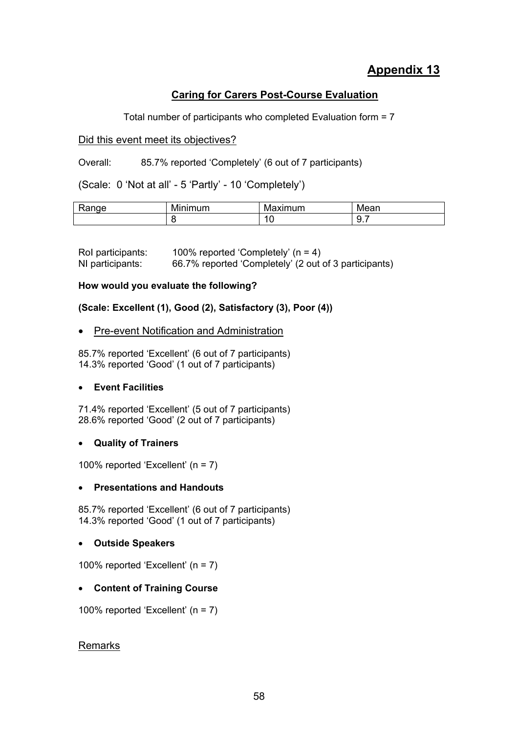# **Appendix 13**

# **Caring for Carers Post-Course Evaluation**

Total number of participants who completed Evaluation form = 7

### Did this event meet its objectives?

Overall: 85.7% reported 'Completely' (6 out of 7 participants)

(Scale: 0 'Not at all' - 5 'Partly' - 10 'Completely')

| nae<br><b>IVA</b> | . .<br>inimum<br>IVII.<br>H. | ximum<br>M<br>7711 | .<br><u>iviean</u> |
|-------------------|------------------------------|--------------------|--------------------|
|                   |                              | ╰                  | ◡<br>◡.,           |

| Rol participants: | 100% reported 'Completely' $(n = 4)$                  |
|-------------------|-------------------------------------------------------|
| NI participants:  | 66.7% reported 'Completely' (2 out of 3 participants) |

### **How would you evaluate the following?**

**(Scale: Excellent (1), Good (2), Satisfactory (3), Poor (4))** 

### • Pre-event Notification and Administration

85.7% reported 'Excellent' (6 out of 7 participants) 14.3% reported 'Good' (1 out of 7 participants)

### • **Event Facilities**

71.4% reported 'Excellent' (5 out of 7 participants) 28.6% reported 'Good' (2 out of 7 participants)

### • **Quality of Trainers**

100% reported 'Excellent' (n = 7)

### • **Presentations and Handouts**

85.7% reported 'Excellent' (6 out of 7 participants) 14.3% reported 'Good' (1 out of 7 participants)

### • **Outside Speakers**

100% reported 'Excellent' (n = 7)

### • **Content of Training Course**

100% reported 'Excellent' (n = 7)

### **Remarks**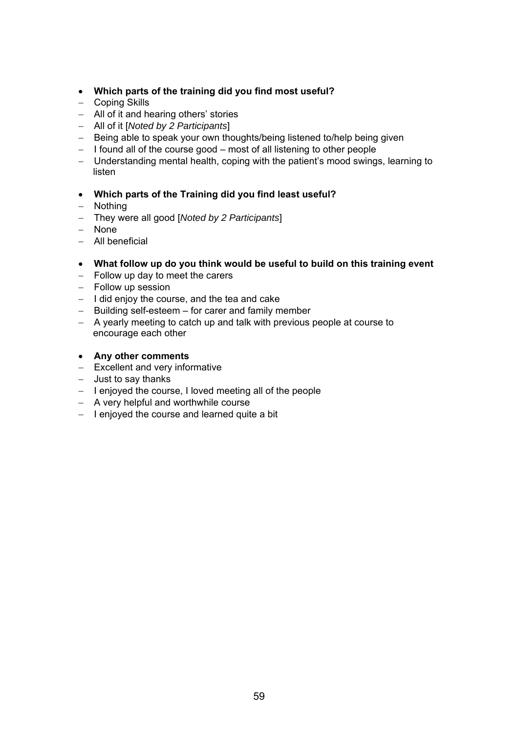- **Which parts of the training did you find most useful?**
- − Coping Skills
- − All of it and hearing others' stories
- − All of it [*Noted by 2 Participants*]
- − Being able to speak your own thoughts/being listened to/help being given
- − I found all of the course good most of all listening to other people
- − Understanding mental health, coping with the patient's mood swings, learning to listen
- **Which parts of the Training did you find least useful?**
- − Nothing
- − They were all good [*Noted by 2 Participants*]
- − None
- − All beneficial
- **What follow up do you think would be useful to build on this training event**
- − Follow up day to meet the carers
- − Follow up session
- − I did enjoy the course, and the tea and cake
- − Building self-esteem for carer and family member
- − A yearly meeting to catch up and talk with previous people at course to encourage each other
- **Any other comments**
- − Excellent and very informative
- − Just to say thanks
- − I enjoyed the course, I loved meeting all of the people
- − A very helpful and worthwhile course
- − I enjoyed the course and learned quite a bit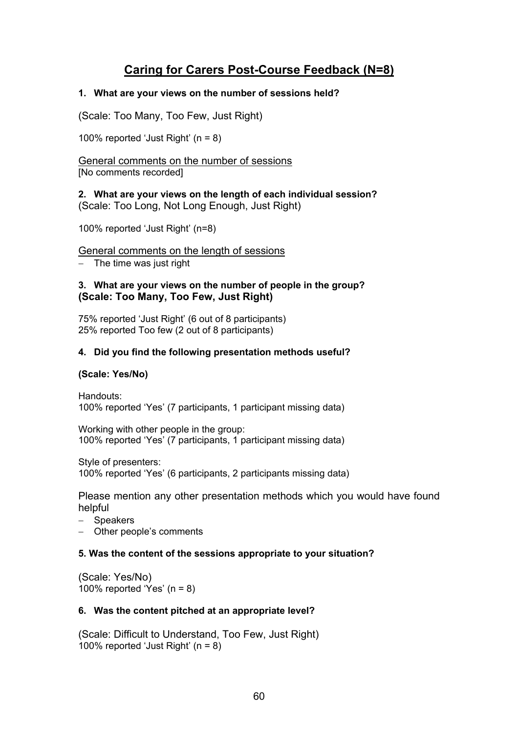# **Caring for Carers Post-Course Feedback (N=8)**

### **1. What are your views on the number of sessions held?**

(Scale: Too Many, Too Few, Just Right)

100% reported 'Just Right' (n = 8)

General comments on the number of sessions [No comments recorded]

**2. What are your views on the length of each individual session?**  (Scale: Too Long, Not Long Enough, Just Right)

100% reported 'Just Right' (n=8)

### General comments on the length of sessions

− The time was just right

### **3. What are your views on the number of people in the group? (Scale: Too Many, Too Few, Just Right)**

75% reported 'Just Right' (6 out of 8 participants) 25% reported Too few (2 out of 8 participants)

### **4. Did you find the following presentation methods useful?**

### **(Scale: Yes/No)**

Handouts: 100% reported 'Yes' (7 participants, 1 participant missing data)

Working with other people in the group: 100% reported 'Yes' (7 participants, 1 participant missing data)

Style of presenters: 100% reported 'Yes' (6 participants, 2 participants missing data)

Please mention any other presentation methods which you would have found helpful

- − Speakers
- Other people's comments

### **5. Was the content of the sessions appropriate to your situation?**

(Scale: Yes/No) 100% reported 'Yes'  $(n = 8)$ 

### **6. Was the content pitched at an appropriate level?**

(Scale: Difficult to Understand, Too Few, Just Right) 100% reported 'Just Right' (n = 8)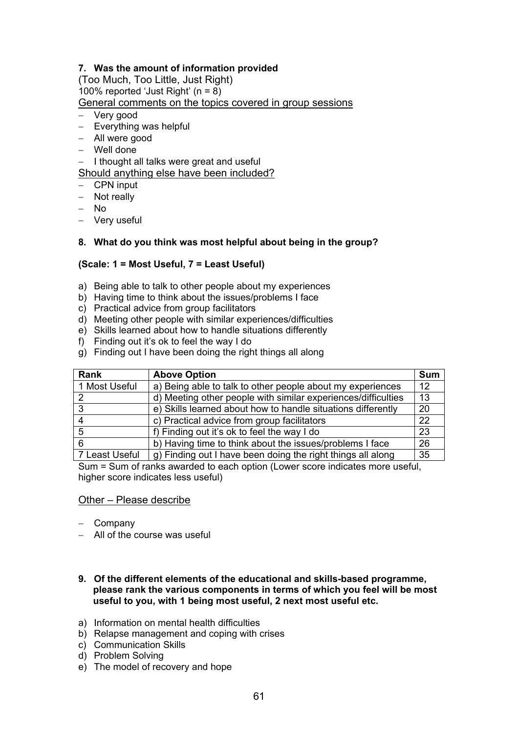### **7. Was the amount of information provided**

(Too Much, Too Little, Just Right) 100% reported 'Just Right'  $(n = 8)$ General comments on the topics covered in group sessions

- − Very good
- − Everything was helpful
- − All were good
- − Well done

− I thought all talks were great and useful

Should anything else have been included?

- − CPN input
- − Not really
- − No
- − Very useful

### **8. What do you think was most helpful about being in the group?**

### **(Scale: 1 = Most Useful, 7 = Least Useful)**

- a) Being able to talk to other people about my experiences
- b) Having time to think about the issues/problems I face
- c) Practical advice from group facilitators
- d) Meeting other people with similar experiences/difficulties
- e) Skills learned about how to handle situations differently
- f) Finding out it's ok to feel the way I do
- g) Finding out I have been doing the right things all along

| <b>Rank</b>    | <b>Above Option</b>                                           | <b>Sum</b> |
|----------------|---------------------------------------------------------------|------------|
| 1 Most Useful  | a) Being able to talk to other people about my experiences    | 12         |
|                | d) Meeting other people with similar experiences/difficulties | 13         |
| 3              | e) Skills learned about how to handle situations differently  | 20         |
|                | c) Practical advice from group facilitators                   | 22         |
| 5              | f) Finding out it's ok to feel the way I do                   | 23         |
| 6              | b) Having time to think about the issues/problems I face      | 26         |
| 7 Least Useful | g) Finding out I have been doing the right things all along   | 35         |

Sum = Sum of ranks awarded to each option (Lower score indicates more useful, higher score indicates less useful)

### Other – Please describe

- − Company
- − All of the course was useful
- **9. Of the different elements of the educational and skills-based programme, please rank the various components in terms of which you feel will be most useful to you, with 1 being most useful, 2 next most useful etc.**
- a) Information on mental health difficulties
- b) Relapse management and coping with crises
- c) Communication Skills
- d) Problem Solving
- e) The model of recovery and hope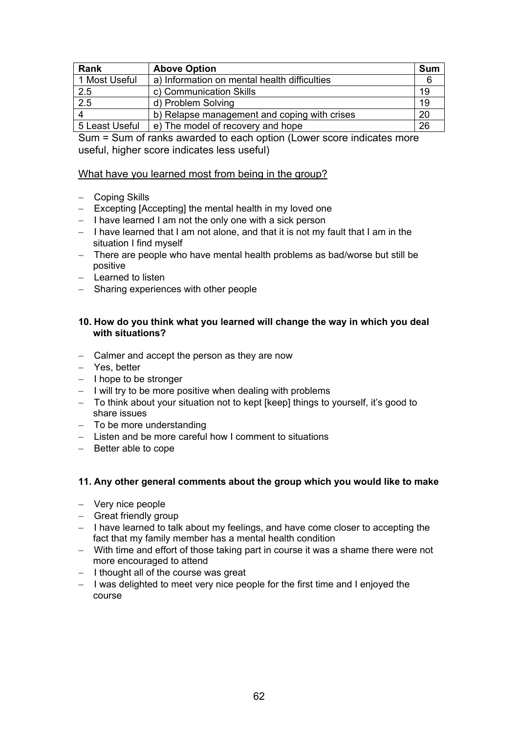| <b>Rank</b>    | <b>Above Option</b>                          | <b>Sum</b> |
|----------------|----------------------------------------------|------------|
| 1 Most Useful  | a) Information on mental health difficulties | 6          |
| 2.5            | c) Communication Skills                      | 19         |
| 2.5            | d) Problem Solving                           | 19         |
| Δ              | b) Relapse management and coping with crises | 20         |
| 5 Least Useful | e) The model of recovery and hope            | 26         |

Sum = Sum of ranks awarded to each option (Lower score indicates more useful, higher score indicates less useful)

### What have you learned most from being in the group?

- − Coping Skills
- − Excepting [Accepting] the mental health in my loved one
- − I have learned I am not the only one with a sick person
- − I have learned that I am not alone, and that it is not my fault that I am in the situation I find myself
- − There are people who have mental health problems as bad/worse but still be positive
- − Learned to listen
- − Sharing experiences with other people

#### **10. How do you think what you learned will change the way in which you deal with situations?**

- − Calmer and accept the person as they are now
- − Yes, better
- − I hope to be stronger
- − I will try to be more positive when dealing with problems
- − To think about your situation not to kept [keep] things to yourself, it's good to share issues
- − To be more understanding
- − Listen and be more careful how I comment to situations
- − Better able to cope

### **11. Any other general comments about the group which you would like to make**

- − Very nice people
- − Great friendly group
- − I have learned to talk about my feelings, and have come closer to accepting the fact that my family member has a mental health condition
- − With time and effort of those taking part in course it was a shame there were not more encouraged to attend
- − I thought all of the course was great
- − I was delighted to meet very nice people for the first time and I enjoyed the course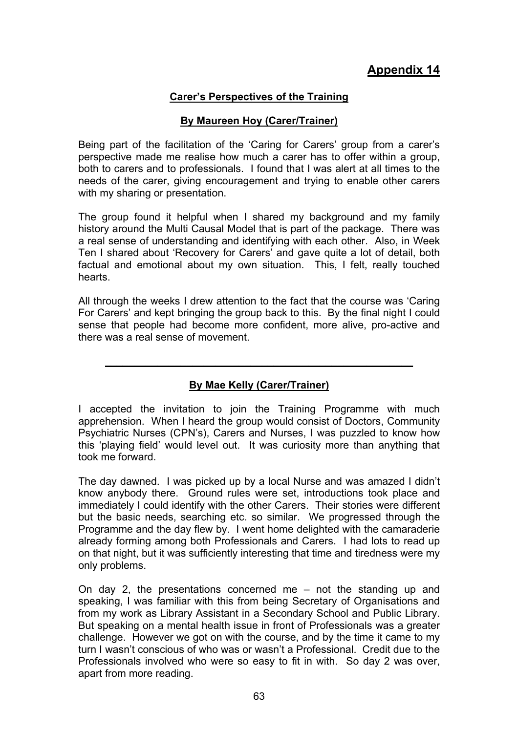# **Appendix 14**

### **Carer's Perspectives of the Training**

### **By Maureen Hoy (Carer/Trainer)**

Being part of the facilitation of the 'Caring for Carers' group from a carer's perspective made me realise how much a carer has to offer within a group, both to carers and to professionals. I found that I was alert at all times to the needs of the carer, giving encouragement and trying to enable other carers with my sharing or presentation.

The group found it helpful when I shared my background and my family history around the Multi Causal Model that is part of the package. There was a real sense of understanding and identifying with each other. Also, in Week Ten I shared about 'Recovery for Carers' and gave quite a lot of detail, both factual and emotional about my own situation. This, I felt, really touched hearts.

All through the weeks I drew attention to the fact that the course was 'Caring For Carers' and kept bringing the group back to this. By the final night I could sense that people had become more confident, more alive, pro-active and there was a real sense of movement.

# **By Mae Kelly (Carer/Trainer)**

**\_\_\_\_\_\_\_\_\_\_\_\_\_\_\_\_\_\_\_\_\_\_\_\_\_\_\_\_\_\_\_\_\_\_\_\_\_\_\_\_\_\_\_\_\_\_\_\_\_\_\_\_\_**

I accepted the invitation to join the Training Programme with much apprehension. When I heard the group would consist of Doctors, Community Psychiatric Nurses (CPN's), Carers and Nurses, I was puzzled to know how this 'playing field' would level out. It was curiosity more than anything that took me forward.

The day dawned. I was picked up by a local Nurse and was amazed I didn't know anybody there. Ground rules were set, introductions took place and immediately I could identify with the other Carers. Their stories were different but the basic needs, searching etc. so similar. We progressed through the Programme and the day flew by. I went home delighted with the camaraderie already forming among both Professionals and Carers. I had lots to read up on that night, but it was sufficiently interesting that time and tiredness were my only problems.

On day 2, the presentations concerned me – not the standing up and speaking, I was familiar with this from being Secretary of Organisations and from my work as Library Assistant in a Secondary School and Public Library. But speaking on a mental health issue in front of Professionals was a greater challenge. However we got on with the course, and by the time it came to my turn I wasn't conscious of who was or wasn't a Professional. Credit due to the Professionals involved who were so easy to fit in with. So day 2 was over, apart from more reading.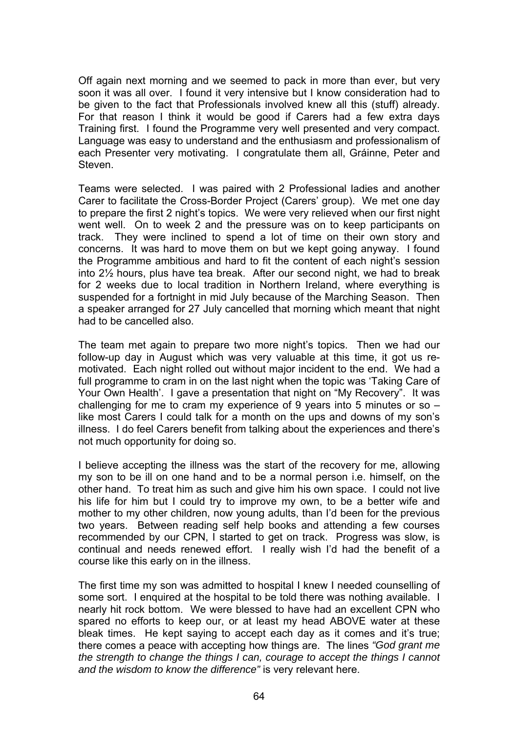Off again next morning and we seemed to pack in more than ever, but very soon it was all over. I found it very intensive but I know consideration had to be given to the fact that Professionals involved knew all this (stuff) already. For that reason I think it would be good if Carers had a few extra days Training first. I found the Programme very well presented and very compact. Language was easy to understand and the enthusiasm and professionalism of each Presenter very motivating. I congratulate them all, Gráinne, Peter and Steven.

Teams were selected. I was paired with 2 Professional ladies and another Carer to facilitate the Cross-Border Project (Carers' group). We met one day to prepare the first 2 night's topics. We were very relieved when our first night went well. On to week 2 and the pressure was on to keep participants on track. They were inclined to spend a lot of time on their own story and concerns. It was hard to move them on but we kept going anyway. I found the Programme ambitious and hard to fit the content of each night's session into 2½ hours, plus have tea break. After our second night, we had to break for 2 weeks due to local tradition in Northern Ireland, where everything is suspended for a fortnight in mid July because of the Marching Season. Then a speaker arranged for 27 July cancelled that morning which meant that night had to be cancelled also.

The team met again to prepare two more night's topics. Then we had our follow-up day in August which was very valuable at this time, it got us remotivated. Each night rolled out without major incident to the end. We had a full programme to cram in on the last night when the topic was 'Taking Care of Your Own Health'. I gave a presentation that night on "My Recovery". It was challenging for me to cram my experience of 9 years into 5 minutes or so – like most Carers I could talk for a month on the ups and downs of my son's illness. I do feel Carers benefit from talking about the experiences and there's not much opportunity for doing so.

I believe accepting the illness was the start of the recovery for me, allowing my son to be ill on one hand and to be a normal person i.e. himself, on the other hand. To treat him as such and give him his own space. I could not live his life for him but I could try to improve my own, to be a better wife and mother to my other children, now young adults, than I'd been for the previous two years. Between reading self help books and attending a few courses recommended by our CPN, I started to get on track. Progress was slow, is continual and needs renewed effort. I really wish I'd had the benefit of a course like this early on in the illness.

The first time my son was admitted to hospital I knew I needed counselling of some sort. I enquired at the hospital to be told there was nothing available. I nearly hit rock bottom. We were blessed to have had an excellent CPN who spared no efforts to keep our, or at least my head ABOVE water at these bleak times. He kept saying to accept each day as it comes and it's true; there comes a peace with accepting how things are. The lines *"God grant me the strength to change the things I can, courage to accept the things I cannot and the wisdom to know the difference"* is very relevant here.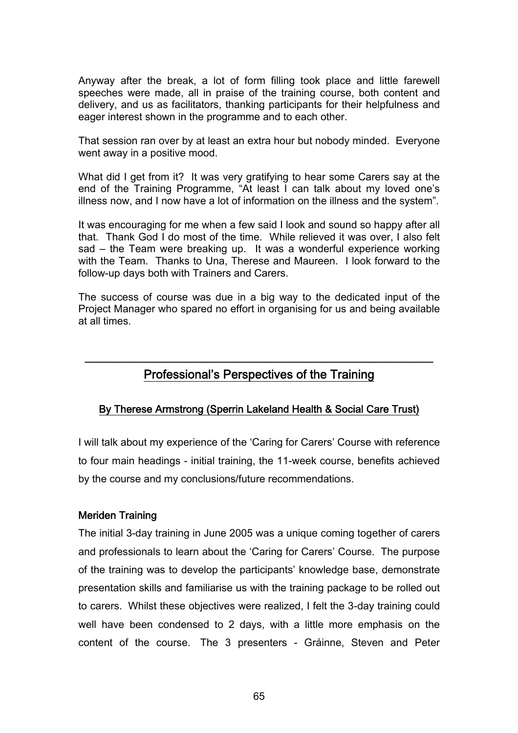Anyway after the break, a lot of form filling took place and little farewell speeches were made, all in praise of the training course, both content and delivery, and us as facilitators, thanking participants for their helpfulness and eager interest shown in the programme and to each other.

That session ran over by at least an extra hour but nobody minded. Everyone went away in a positive mood.

What did I get from it? It was very gratifying to hear some Carers say at the end of the Training Programme, "At least I can talk about my loved one's illness now, and I now have a lot of information on the illness and the system".

It was encouraging for me when a few said I look and sound so happy after all that. Thank God I do most of the time. While relieved it was over, I also felt sad – the Team were breaking up. It was a wonderful experience working with the Team. Thanks to Una, Therese and Maureen. I look forward to the follow-up days both with Trainers and Carers.

The success of course was due in a big way to the dedicated input of the Project Manager who spared no effort in organising for us and being available at all times.

# **\_\_\_\_\_\_\_\_\_\_\_\_\_\_\_\_\_\_\_\_\_\_\_\_\_\_\_\_\_\_\_\_\_\_\_\_\_\_\_\_\_\_\_\_\_\_\_\_\_\_\_\_\_\_\_\_\_\_\_\_**  Professional's Perspectives of the Training

# By Therese Armstrong (Sperrin Lakeland Health & Social Care Trust)

I will talk about my experience of the 'Caring for Carers' Course with reference to four main headings - initial training, the 11-week course, benefits achieved by the course and my conclusions/future recommendations.

### Meriden Training

The initial 3-day training in June 2005 was a unique coming together of carers and professionals to learn about the 'Caring for Carers' Course. The purpose of the training was to develop the participants' knowledge base, demonstrate presentation skills and familiarise us with the training package to be rolled out to carers. Whilst these objectives were realized, I felt the 3-day training could well have been condensed to 2 days, with a little more emphasis on the content of the course. The 3 presenters - Gráinne, Steven and Peter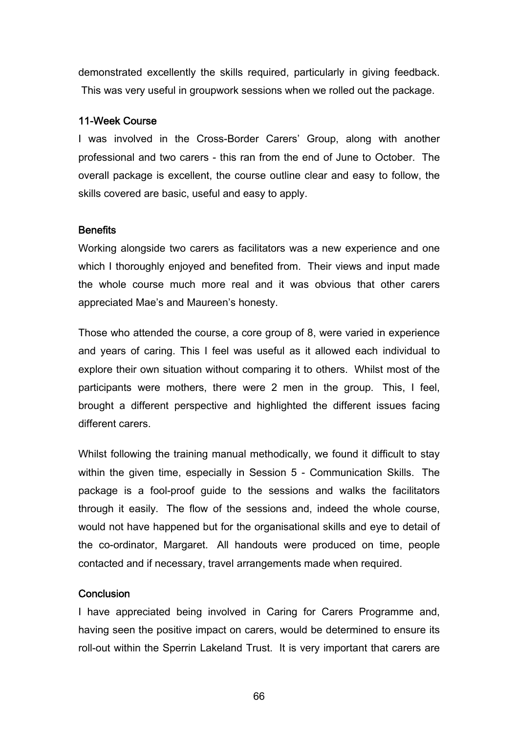demonstrated excellently the skills required, particularly in giving feedback. This was very useful in groupwork sessions when we rolled out the package.

### 11-Week Course

I was involved in the Cross-Border Carers' Group, along with another professional and two carers - this ran from the end of June to October. The overall package is excellent, the course outline clear and easy to follow, the skills covered are basic, useful and easy to apply.

### **Benefits**

Working alongside two carers as facilitators was a new experience and one which I thoroughly enjoyed and benefited from. Their views and input made the whole course much more real and it was obvious that other carers appreciated Mae's and Maureen's honesty.

Those who attended the course, a core group of 8, were varied in experience and years of caring. This I feel was useful as it allowed each individual to explore their own situation without comparing it to others. Whilst most of the participants were mothers, there were 2 men in the group. This, I feel, brought a different perspective and highlighted the different issues facing different carers.

Whilst following the training manual methodically, we found it difficult to stay within the given time, especially in Session 5 - Communication Skills. The package is a fool-proof guide to the sessions and walks the facilitators through it easily. The flow of the sessions and, indeed the whole course, would not have happened but for the organisational skills and eye to detail of the co-ordinator, Margaret. All handouts were produced on time, people contacted and if necessary, travel arrangements made when required.

### **Conclusion**

I have appreciated being involved in Caring for Carers Programme and, having seen the positive impact on carers, would be determined to ensure its roll-out within the Sperrin Lakeland Trust. It is very important that carers are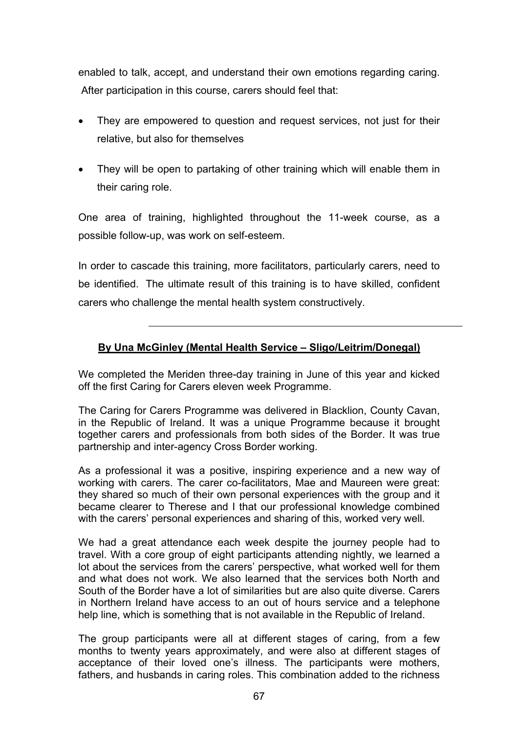enabled to talk, accept, and understand their own emotions regarding caring. After participation in this course, carers should feel that:

- They are empowered to question and request services, not just for their relative, but also for themselves
- They will be open to partaking of other training which will enable them in their caring role.

One area of training, highlighted throughout the 11-week course, as a possible follow-up, was work on self-esteem.

In order to cascade this training, more facilitators, particularly carers, need to be identified. The ultimate result of this training is to have skilled, confident carers who challenge the mental health system constructively.

# **By Una McGinley (Mental Health Service – Sligo/Leitrim/Donegal)**

We completed the Meriden three-day training in June of this year and kicked off the first Caring for Carers eleven week Programme.

The Caring for Carers Programme was delivered in Blacklion, County Cavan, in the Republic of Ireland. It was a unique Programme because it brought together carers and professionals from both sides of the Border. It was true partnership and inter-agency Cross Border working.

As a professional it was a positive, inspiring experience and a new way of working with carers. The carer co-facilitators, Mae and Maureen were great: they shared so much of their own personal experiences with the group and it became clearer to Therese and I that our professional knowledge combined with the carers' personal experiences and sharing of this, worked very well.

We had a great attendance each week despite the journey people had to travel. With a core group of eight participants attending nightly, we learned a lot about the services from the carers' perspective, what worked well for them and what does not work. We also learned that the services both North and South of the Border have a lot of similarities but are also quite diverse. Carers in Northern Ireland have access to an out of hours service and a telephone help line, which is something that is not available in the Republic of Ireland.

The group participants were all at different stages of caring, from a few months to twenty years approximately, and were also at different stages of acceptance of their loved one's illness. The participants were mothers, fathers, and husbands in caring roles. This combination added to the richness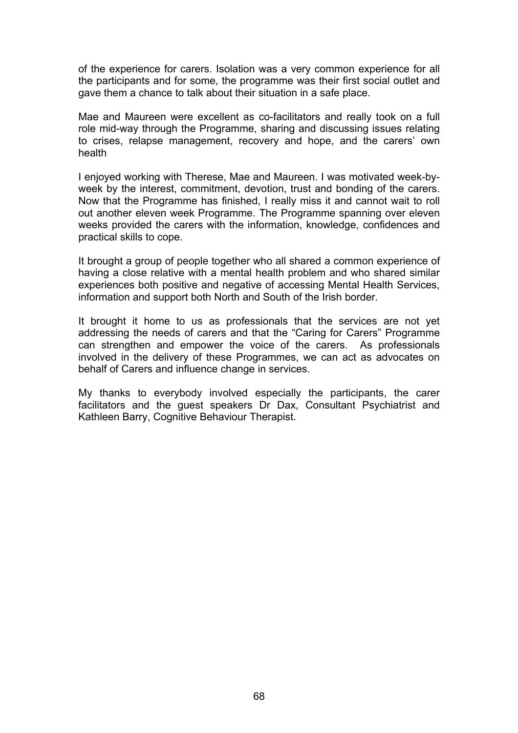of the experience for carers. Isolation was a very common experience for all the participants and for some, the programme was their first social outlet and gave them a chance to talk about their situation in a safe place.

Mae and Maureen were excellent as co-facilitators and really took on a full role mid-way through the Programme, sharing and discussing issues relating to crises, relapse management, recovery and hope, and the carers' own health

I enjoyed working with Therese, Mae and Maureen. I was motivated week-byweek by the interest, commitment, devotion, trust and bonding of the carers. Now that the Programme has finished, I really miss it and cannot wait to roll out another eleven week Programme. The Programme spanning over eleven weeks provided the carers with the information, knowledge, confidences and practical skills to cope.

It brought a group of people together who all shared a common experience of having a close relative with a mental health problem and who shared similar experiences both positive and negative of accessing Mental Health Services, information and support both North and South of the Irish border.

It brought it home to us as professionals that the services are not yet addressing the needs of carers and that the "Caring for Carers" Programme can strengthen and empower the voice of the carers. As professionals involved in the delivery of these Programmes, we can act as advocates on behalf of Carers and influence change in services.

My thanks to everybody involved especially the participants, the carer facilitators and the guest speakers Dr Dax, Consultant Psychiatrist and Kathleen Barry, Cognitive Behaviour Therapist.